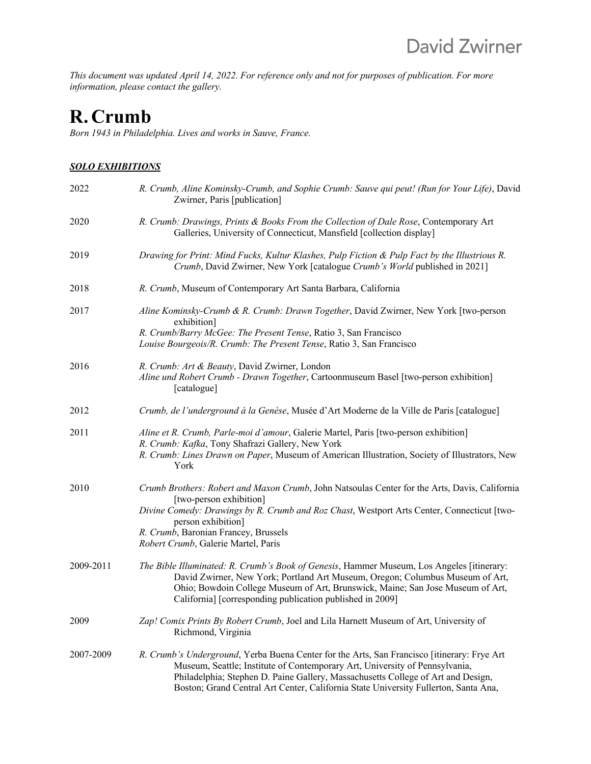*This document was updated April 14, 2022. For reference only and not for purposes of publication. For more information, please contact the gallery.*

# **R. Crumb**

*Born 1943 in Philadelphia. Lives and works in Sauve, France.*

### *SOLO EXHIBITIONS*

| 2022      | R. Crumb, Aline Kominsky-Crumb, and Sophie Crumb: Sauve qui peut! (Run for Your Life), David<br>Zwirner, Paris [publication]                                                                                                                                                                                                                          |
|-----------|-------------------------------------------------------------------------------------------------------------------------------------------------------------------------------------------------------------------------------------------------------------------------------------------------------------------------------------------------------|
| 2020      | R. Crumb: Drawings, Prints & Books From the Collection of Dale Rose, Contemporary Art<br>Galleries, University of Connecticut, Mansfield [collection display]                                                                                                                                                                                         |
| 2019      | Drawing for Print: Mind Fucks, Kultur Klashes, Pulp Fiction & Pulp Fact by the Illustrious R.<br>Crumb, David Zwirner, New York [catalogue Crumb's World published in 2021]                                                                                                                                                                           |
| 2018      | R. Crumb, Museum of Contemporary Art Santa Barbara, California                                                                                                                                                                                                                                                                                        |
| 2017      | Aline Kominsky-Crumb & R. Crumb: Drawn Together, David Zwirner, New York [two-person<br>exhibition]<br>R. Crumb/Barry McGee: The Present Tense, Ratio 3, San Francisco<br>Louise Bourgeois/R. Crumb: The Present Tense, Ratio 3, San Francisco                                                                                                        |
| 2016      | R. Crumb: Art & Beauty, David Zwirner, London<br>Aline und Robert Crumb - Drawn Together, Cartoonmuseum Basel [two-person exhibition]<br>[catalogue]                                                                                                                                                                                                  |
| 2012      | Crumb, de l'underground à la Genèse, Musée d'Art Moderne de la Ville de Paris [catalogue]                                                                                                                                                                                                                                                             |
| 2011      | Aline et R. Crumb, Parle-moi d'amour, Galerie Martel, Paris [two-person exhibition]<br>R. Crumb: Kafka, Tony Shafrazi Gallery, New York<br>R. Crumb: Lines Drawn on Paper, Museum of American Illustration, Society of Illustrators, New<br>York                                                                                                      |
| 2010      | Crumb Brothers: Robert and Maxon Crumb, John Natsoulas Center for the Arts, Davis, California<br>[two-person exhibition]<br>Divine Comedy: Drawings by R. Crumb and Roz Chast, Westport Arts Center, Connecticut [two-<br>person exhibition]<br>R. Crumb, Baronian Francey, Brussels<br>Robert Crumb, Galerie Martel, Paris                           |
| 2009-2011 | The Bible Illuminated: R. Crumb's Book of Genesis, Hammer Museum, Los Angeles [itinerary:<br>David Zwirner, New York; Portland Art Museum, Oregon; Columbus Museum of Art,<br>Ohio; Bowdoin College Museum of Art, Brunswick, Maine; San Jose Museum of Art,<br>California] [corresponding publication published in 2009]                             |
| 2009      | Zap! Comix Prints By Robert Crumb, Joel and Lila Harnett Museum of Art, University of<br>Richmond, Virginia                                                                                                                                                                                                                                           |
| 2007-2009 | R. Crumb's Underground, Yerba Buena Center for the Arts, San Francisco [itinerary: Frye Art<br>Museum, Seattle; Institute of Contemporary Art, University of Pennsylvania,<br>Philadelphia; Stephen D. Paine Gallery, Massachusetts College of Art and Design,<br>Boston; Grand Central Art Center, California State University Fullerton, Santa Ana, |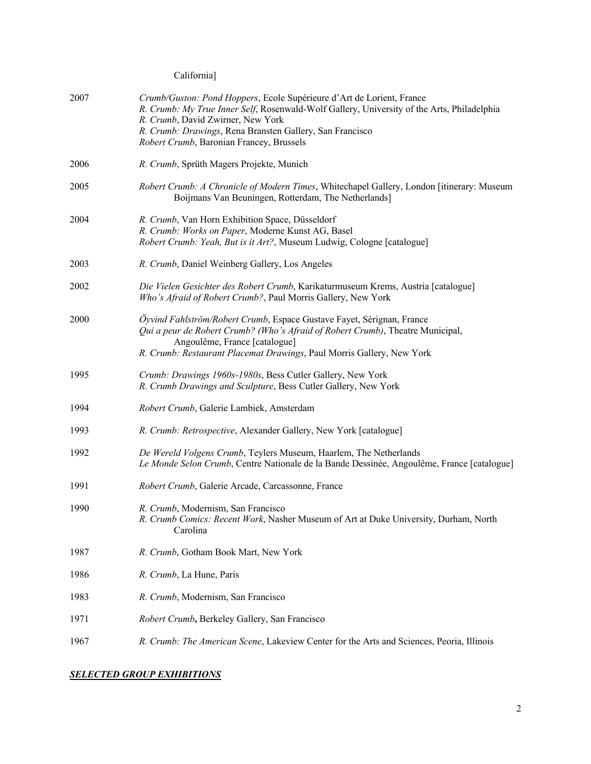California]

| 2007 | Crumb/Guston: Pond Hoppers, Ecole Supérieure d'Art de Lorient, France<br>R. Crumb: My True Inner Self, Rosenwald-Wolf Gallery, University of the Arts, Philadelphia<br>R. Crumb, David Zwirner, New York<br>R. Crumb: Drawings, Rena Bransten Gallery, San Francisco<br>Robert Crumb, Baronian Francey, Brussels |
|------|------------------------------------------------------------------------------------------------------------------------------------------------------------------------------------------------------------------------------------------------------------------------------------------------------------------|
| 2006 | R. Crumb, Sprüth Magers Projekte, Munich                                                                                                                                                                                                                                                                         |
| 2005 | Robert Crumb: A Chronicle of Modern Times, Whitechapel Gallery, London [itinerary: Museum<br>Boijmans Van Beuningen, Rotterdam, The Netherlands]                                                                                                                                                                 |
| 2004 | R. Crumb, Van Horn Exhibition Space, Düsseldorf<br>R. Crumb: Works on Paper, Moderne Kunst AG, Basel<br>Robert Crumb: Yeah, But is it Art?, Museum Ludwig, Cologne [catalogue]                                                                                                                                   |
| 2003 | R. Crumb, Daniel Weinberg Gallery, Los Angeles                                                                                                                                                                                                                                                                   |
| 2002 | Die Vielen Gesichter des Robert Crumb, Karikaturmuseum Krems, Austria [catalogue]<br>Who's Afraid of Robert Crumb?, Paul Morris Gallery, New York                                                                                                                                                                |
| 2000 | Öyvind Fahlström/Robert Crumb, Espace Gustave Fayet, Sérignan, France<br>Qui a peur de Robert Crumb? (Who's Afraid of Robert Crumb), Theatre Municipal,<br>Angoulême, France [catalogue]<br>R. Crumb: Restaurant Placemat Drawings, Paul Morris Gallery, New York                                                |
| 1995 | Crumb: Drawings 1960s-1980s, Bess Cutler Gallery, New York<br>R. Crumb Drawings and Sculpture, Bess Cutler Gallery, New York                                                                                                                                                                                     |
| 1994 | Robert Crumb, Galerie Lambiek, Amsterdam                                                                                                                                                                                                                                                                         |
| 1993 | R. Crumb: Retrospective, Alexander Gallery, New York [catalogue]                                                                                                                                                                                                                                                 |
| 1992 | De Wereld Volgens Crumb, Teylers Museum, Haarlem, The Netherlands<br>Le Monde Selon Crumb, Centre Nationale de la Bande Dessinée, Angoulême, France [catalogue]                                                                                                                                                  |
| 1991 | Robert Crumb, Galerie Arcade, Carcassonne, France                                                                                                                                                                                                                                                                |
| 1990 | R. Crumb, Modernism, San Francisco<br>R. Crumb Comics: Recent Work, Nasher Museum of Art at Duke University, Durham, North<br>Carolina                                                                                                                                                                           |
| 1987 | R. Crumb, Gotham Book Mart, New York                                                                                                                                                                                                                                                                             |
| 1986 | R. Crumb, La Hune, Paris                                                                                                                                                                                                                                                                                         |
| 1983 | R. Crumb, Modernism, San Francisco                                                                                                                                                                                                                                                                               |
| 1971 | Robert Crumb, Berkeley Gallery, San Francisco                                                                                                                                                                                                                                                                    |
| 1967 | R. Crumb: The American Scene, Lakeview Center for the Arts and Sciences, Peoria, Illinois                                                                                                                                                                                                                        |

## *SELECTED GROUP EXHIBITIONS*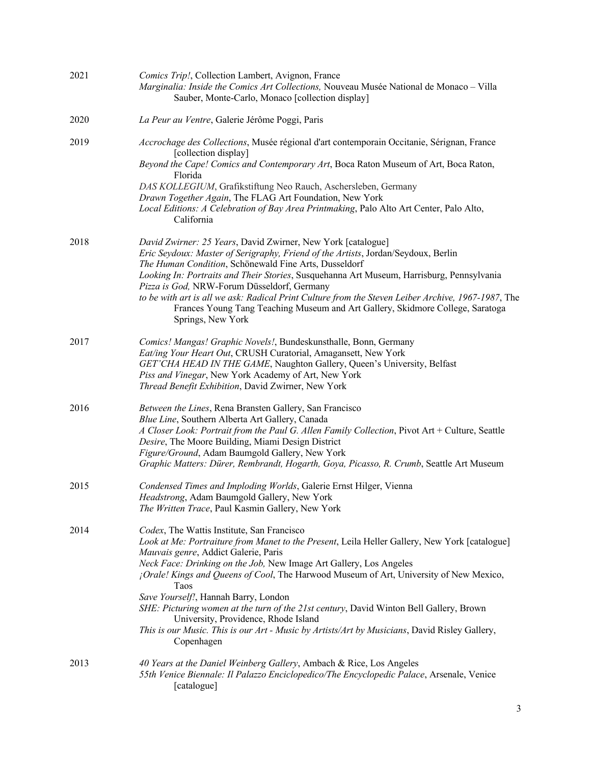| 2021 | Comics Trip!, Collection Lambert, Avignon, France<br>Marginalia: Inside the Comics Art Collections, Nouveau Musée National de Monaco - Villa<br>Sauber, Monte-Carlo, Monaco [collection display]                                                                                                                                                                                                                                                                                                                                                                                                                                                     |
|------|------------------------------------------------------------------------------------------------------------------------------------------------------------------------------------------------------------------------------------------------------------------------------------------------------------------------------------------------------------------------------------------------------------------------------------------------------------------------------------------------------------------------------------------------------------------------------------------------------------------------------------------------------|
| 2020 | La Peur au Ventre, Galerie Jérôme Poggi, Paris                                                                                                                                                                                                                                                                                                                                                                                                                                                                                                                                                                                                       |
| 2019 | Accrochage des Collections, Musée régional d'art contemporain Occitanie, Sérignan, France<br>[collection display]<br>Beyond the Cape! Comics and Contemporary Art, Boca Raton Museum of Art, Boca Raton,<br>Florida<br>DAS KOLLEGIUM, Grafikstiftung Neo Rauch, Aschersleben, Germany<br>Drawn Together Again, The FLAG Art Foundation, New York<br>Local Editions: A Celebration of Bay Area Printmaking, Palo Alto Art Center, Palo Alto,<br>California                                                                                                                                                                                            |
| 2018 | David Zwirner: 25 Years, David Zwirner, New York [catalogue]<br>Eric Seydoux: Master of Serigraphy, Friend of the Artists, Jordan/Seydoux, Berlin<br>The Human Condition, Schönewald Fine Arts, Dusseldorf<br>Looking In: Portraits and Their Stories, Susquehanna Art Museum, Harrisburg, Pennsylvania<br>Pizza is God, NRW-Forum Düsseldorf, Germany<br>to be with art is all we ask: Radical Print Culture from the Steven Leiber Archive, 1967-1987, The<br>Frances Young Tang Teaching Museum and Art Gallery, Skidmore College, Saratoga<br>Springs, New York                                                                                  |
| 2017 | Comics! Mangas! Graphic Novels!, Bundeskunsthalle, Bonn, Germany<br>Eat/ing Your Heart Out, CRUSH Curatorial, Amagansett, New York<br>GET'CHA HEAD IN THE GAME, Naughton Gallery, Queen's University, Belfast<br>Piss and Vinegar, New York Academy of Art, New York<br>Thread Benefit Exhibition, David Zwirner, New York                                                                                                                                                                                                                                                                                                                           |
| 2016 | Between the Lines, Rena Bransten Gallery, San Francisco<br>Blue Line, Southern Alberta Art Gallery, Canada<br>A Closer Look: Portrait from the Paul G. Allen Family Collection, Pivot Art + Culture, Seattle<br>Desire, The Moore Building, Miami Design District<br>Figure/Ground, Adam Baumgold Gallery, New York<br>Graphic Matters: Dürer, Rembrandt, Hogarth, Goya, Picasso, R. Crumb, Seattle Art Museum                                                                                                                                                                                                                                       |
| 2015 | Condensed Times and Imploding Worlds, Galerie Ernst Hilger, Vienna<br>Headstrong, Adam Baumgold Gallery, New York<br>The Written Trace, Paul Kasmin Gallery, New York                                                                                                                                                                                                                                                                                                                                                                                                                                                                                |
| 2014 | Codex, The Wattis Institute, San Francisco<br>Look at Me: Portraiture from Manet to the Present, Leila Heller Gallery, New York [catalogue]<br>Mauvais genre, Addict Galerie, Paris<br>Neck Face: Drinking on the Job, New Image Art Gallery, Los Angeles<br>¡Orale! Kings and Queens of Cool, The Harwood Museum of Art, University of New Mexico,<br>Taos<br>Save Yourself!, Hannah Barry, London<br>SHE: Picturing women at the turn of the 21st century, David Winton Bell Gallery, Brown<br>University, Providence, Rhode Island<br>This is our Music. This is our Art - Music by Artists/Art by Musicians, David Risley Gallery,<br>Copenhagen |
| 2013 | 40 Years at the Daniel Weinberg Gallery, Ambach & Rice, Los Angeles<br>55th Venice Biennale: Il Palazzo Enciclopedico/The Encyclopedic Palace, Arsenale, Venice<br>[catalogue]                                                                                                                                                                                                                                                                                                                                                                                                                                                                       |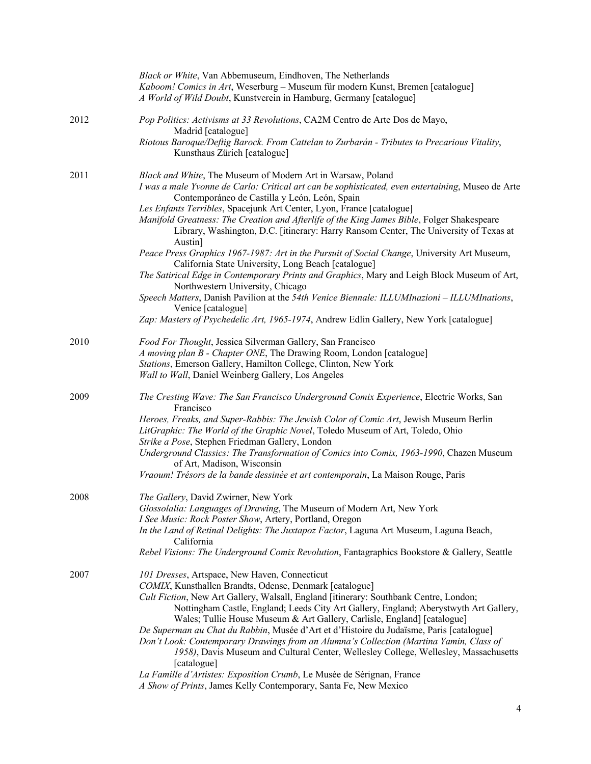|      | Black or White, Van Abbemuseum, Eindhoven, The Netherlands<br>Kaboom! Comics in Art, Weserburg - Museum für modern Kunst, Bremen [catalogue]<br>A World of Wild Doubt, Kunstverein in Hamburg, Germany [catalogue]                                                                                                                                                                                                                                                                                                                                                                                                                                                                                                                                                                                                                                                                                                                                                                                   |
|------|------------------------------------------------------------------------------------------------------------------------------------------------------------------------------------------------------------------------------------------------------------------------------------------------------------------------------------------------------------------------------------------------------------------------------------------------------------------------------------------------------------------------------------------------------------------------------------------------------------------------------------------------------------------------------------------------------------------------------------------------------------------------------------------------------------------------------------------------------------------------------------------------------------------------------------------------------------------------------------------------------|
| 2012 | Pop Politics: Activisms at 33 Revolutions, CA2M Centro de Arte Dos de Mayo,<br>Madrid [catalogue]<br>Riotous Baroque/Deftig Barock. From Cattelan to Zurbarán - Tributes to Precarious Vitality,<br>Kunsthaus Zürich [catalogue]                                                                                                                                                                                                                                                                                                                                                                                                                                                                                                                                                                                                                                                                                                                                                                     |
| 2011 | Black and White, The Museum of Modern Art in Warsaw, Poland<br>I was a male Yvonne de Carlo: Critical art can be sophisticated, even entertaining, Museo de Arte<br>Contemporáneo de Castilla y León, León, Spain<br>Les Enfants Terribles, Spacejunk Art Center, Lyon, France [catalogue]<br>Manifold Greatness: The Creation and Afterlife of the King James Bible, Folger Shakespeare<br>Library, Washington, D.C. [itinerary: Harry Ransom Center, The University of Texas at<br>Austin]<br>Peace Press Graphics 1967-1987: Art in the Pursuit of Social Change, University Art Museum,<br>California State University, Long Beach [catalogue]<br>The Satirical Edge in Contemporary Prints and Graphics, Mary and Leigh Block Museum of Art,<br>Northwestern University, Chicago<br>Speech Matters, Danish Pavilion at the 54th Venice Biennale: ILLUMInazioni - ILLUMInations,<br>Venice [catalogue]<br>Zap: Masters of Psychedelic Art, 1965-1974, Andrew Edlin Gallery, New York [catalogue] |
| 2010 | Food For Thought, Jessica Silverman Gallery, San Francisco<br>A moving plan B - Chapter ONE, The Drawing Room, London [catalogue]<br>Stations, Emerson Gallery, Hamilton College, Clinton, New York<br>Wall to Wall, Daniel Weinberg Gallery, Los Angeles                                                                                                                                                                                                                                                                                                                                                                                                                                                                                                                                                                                                                                                                                                                                            |
| 2009 | The Cresting Wave: The San Francisco Underground Comix Experience, Electric Works, San<br>Francisco<br>Heroes, Freaks, and Super-Rabbis: The Jewish Color of Comic Art, Jewish Museum Berlin<br>LitGraphic: The World of the Graphic Novel, Toledo Museum of Art, Toledo, Ohio<br>Strike a Pose, Stephen Friedman Gallery, London<br>Underground Classics: The Transformation of Comics into Comix, 1963-1990, Chazen Museum<br>of Art, Madison, Wisconsin<br>Vraoum! Trésors de la bande dessinée et art contemporain, La Maison Rouge, Paris                                                                                                                                                                                                                                                                                                                                                                                                                                                       |
| 2008 | The Gallery, David Zwirner, New York<br>Glossolalia: Languages of Drawing, The Museum of Modern Art, New York<br>I See Music: Rock Poster Show, Artery, Portland, Oregon<br>In the Land of Retinal Delights: The Juxtapoz Factor, Laguna Art Museum, Laguna Beach,<br>California<br>Rebel Visions: The Underground Comix Revolution, Fantagraphics Bookstore & Gallery, Seattle                                                                                                                                                                                                                                                                                                                                                                                                                                                                                                                                                                                                                      |
| 2007 | 101 Dresses, Artspace, New Haven, Connecticut<br>COMIX, Kunsthallen Brandts, Odense, Denmark [catalogue]<br>Cult Fiction, New Art Gallery, Walsall, England [itinerary: Southbank Centre, London;<br>Nottingham Castle, England; Leeds City Art Gallery, England; Aberystwyth Art Gallery,<br>Wales; Tullie House Museum & Art Gallery, Carlisle, England] [catalogue]<br>De Superman au Chat du Rabbin, Musée d'Art et d'Histoire du Judaïsme, Paris [catalogue]<br>Don't Look: Contemporary Drawings from an Alumna's Collection (Martina Yamin, Class of<br>1958), Davis Museum and Cultural Center, Wellesley College, Wellesley, Massachusetts<br>[catalogue]<br>La Famille d'Artistes: Exposition Crumb, Le Musée de Sérignan, France<br>A Show of Prints, James Kelly Contemporary, Santa Fe, New Mexico                                                                                                                                                                                      |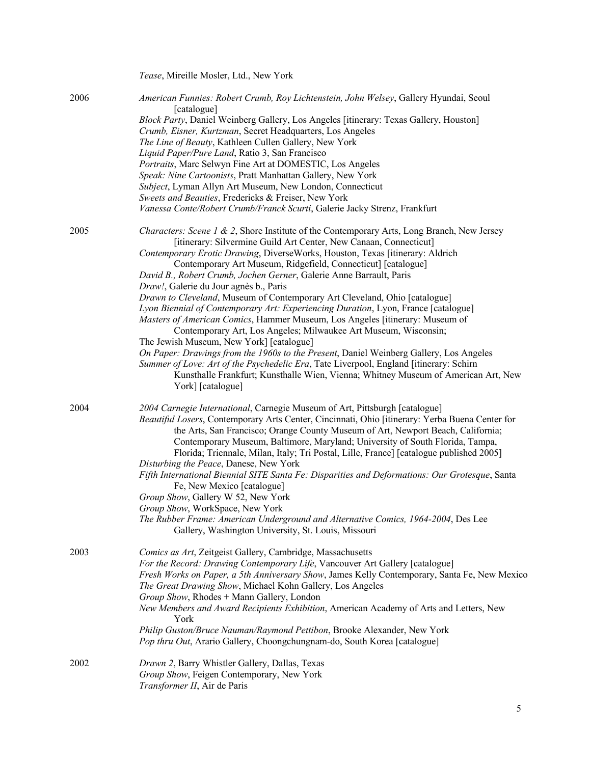|      | Tease, Mireille Mosler, Ltd., New York                                                                                                                                                                                                                                                                                                                                                                                                                                                                                                                                                                                                                                                                                                                                                                                                                                                                                                                                                                                                                                                               |
|------|------------------------------------------------------------------------------------------------------------------------------------------------------------------------------------------------------------------------------------------------------------------------------------------------------------------------------------------------------------------------------------------------------------------------------------------------------------------------------------------------------------------------------------------------------------------------------------------------------------------------------------------------------------------------------------------------------------------------------------------------------------------------------------------------------------------------------------------------------------------------------------------------------------------------------------------------------------------------------------------------------------------------------------------------------------------------------------------------------|
| 2006 | American Funnies: Robert Crumb, Roy Lichtenstein, John Welsey, Gallery Hyundai, Seoul<br>[catalogue]<br>Block Party, Daniel Weinberg Gallery, Los Angeles [itinerary: Texas Gallery, Houston]<br>Crumb, Eisner, Kurtzman, Secret Headquarters, Los Angeles<br>The Line of Beauty, Kathleen Cullen Gallery, New York<br>Liquid Paper/Pure Land, Ratio 3, San Francisco<br>Portraits, Marc Selwyn Fine Art at DOMESTIC, Los Angeles<br>Speak: Nine Cartoonists, Pratt Manhattan Gallery, New York<br>Subject, Lyman Allyn Art Museum, New London, Connecticut<br>Sweets and Beauties, Fredericks & Freiser, New York<br>Vanessa Conte/Robert Crumb/Franck Scurti, Galerie Jacky Strenz, Frankfurt                                                                                                                                                                                                                                                                                                                                                                                                      |
| 2005 | Characters: Scene 1 & 2, Shore Institute of the Contemporary Arts, Long Branch, New Jersey<br>[itinerary: Silvermine Guild Art Center, New Canaan, Connecticut]<br>Contemporary Erotic Drawing, DiverseWorks, Houston, Texas [itinerary: Aldrich<br>Contemporary Art Museum, Ridgefield, Connecticut] [catalogue]<br>David B., Robert Crumb, Jochen Gerner, Galerie Anne Barrault, Paris<br>Draw!, Galerie du Jour agnès b., Paris<br>Drawn to Cleveland, Museum of Contemporary Art Cleveland, Ohio [catalogue]<br>Lyon Biennial of Contemporary Art: Experiencing Duration, Lyon, France [catalogue]<br>Masters of American Comics, Hammer Museum, Los Angeles [itinerary: Museum of<br>Contemporary Art, Los Angeles; Milwaukee Art Museum, Wisconsin;<br>The Jewish Museum, New York] [catalogue]<br>On Paper: Drawings from the 1960s to the Present, Daniel Weinberg Gallery, Los Angeles<br>Summer of Love: Art of the Psychedelic Era, Tate Liverpool, England [itinerary: Schirn<br>Kunsthalle Frankfurt; Kunsthalle Wien, Vienna; Whitney Museum of American Art, New<br>York] [catalogue] |
| 2004 | 2004 Carnegie International, Carnegie Museum of Art, Pittsburgh [catalogue]<br>Beautiful Losers, Contemporary Arts Center, Cincinnati, Ohio [itinerary: Yerba Buena Center for<br>the Arts, San Francisco; Orange County Museum of Art, Newport Beach, California;<br>Contemporary Museum, Baltimore, Maryland; University of South Florida, Tampa,<br>Florida; Triennale, Milan, Italy; Tri Postal, Lille, France] [catalogue published 2005]<br>Disturbing the Peace, Danese, New York<br>Fifth International Biennial SITE Santa Fe: Disparities and Deformations: Our Grotesque, Santa<br>Fe, New Mexico [catalogue]<br>Group Show, Gallery W 52, New York<br>Group Show, WorkSpace, New York<br>The Rubber Frame: American Underground and Alternative Comics, 1964-2004, Des Lee<br>Gallery, Washington University, St. Louis, Missouri                                                                                                                                                                                                                                                        |
| 2003 | Comics as Art, Zeitgeist Gallery, Cambridge, Massachusetts<br>For the Record: Drawing Contemporary Life, Vancouver Art Gallery [catalogue]<br>Fresh Works on Paper, a 5th Anniversary Show, James Kelly Contemporary, Santa Fe, New Mexico<br>The Great Drawing Show, Michael Kohn Gallery, Los Angeles<br>Group Show, Rhodes + Mann Gallery, London<br>New Members and Award Recipients Exhibition, American Academy of Arts and Letters, New<br>York<br>Philip Guston/Bruce Nauman/Raymond Pettibon, Brooke Alexander, New York<br>Pop thru Out, Arario Gallery, Choongchungnam-do, South Korea [catalogue]                                                                                                                                                                                                                                                                                                                                                                                                                                                                                        |
| 2002 | Drawn 2, Barry Whistler Gallery, Dallas, Texas<br>Group Show, Feigen Contemporary, New York<br>Transformer II, Air de Paris                                                                                                                                                                                                                                                                                                                                                                                                                                                                                                                                                                                                                                                                                                                                                                                                                                                                                                                                                                          |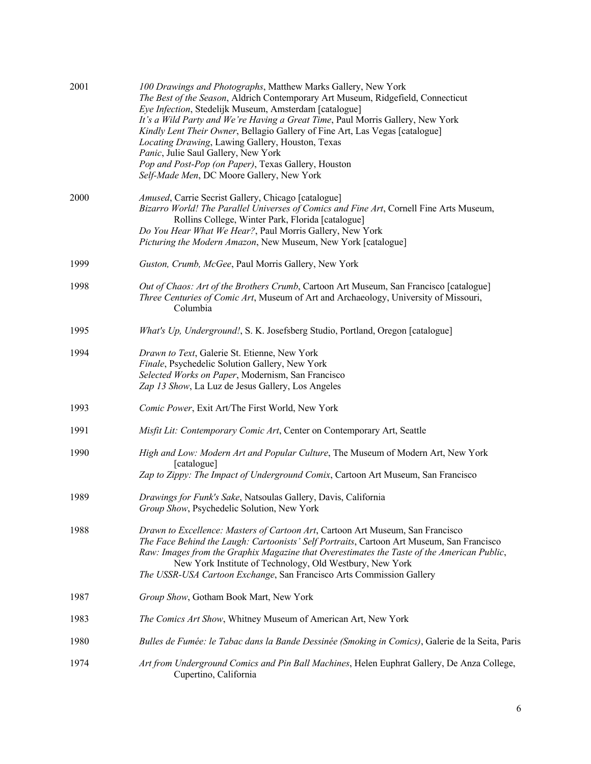| 2001 | 100 Drawings and Photographs, Matthew Marks Gallery, New York<br>The Best of the Season, Aldrich Contemporary Art Museum, Ridgefield, Connecticut<br>Eye Infection, Stedelijk Museum, Amsterdam [catalogue]<br>It's a Wild Party and We're Having a Great Time, Paul Morris Gallery, New York<br>Kindly Lent Their Owner, Bellagio Gallery of Fine Art, Las Vegas [catalogue]<br>Locating Drawing, Lawing Gallery, Houston, Texas<br>Panic, Julie Saul Gallery, New York<br>Pop and Post-Pop (on Paper), Texas Gallery, Houston<br>Self-Made Men, DC Moore Gallery, New York |
|------|------------------------------------------------------------------------------------------------------------------------------------------------------------------------------------------------------------------------------------------------------------------------------------------------------------------------------------------------------------------------------------------------------------------------------------------------------------------------------------------------------------------------------------------------------------------------------|
| 2000 | Amused, Carrie Secrist Gallery, Chicago [catalogue]<br>Bizarro World! The Parallel Universes of Comics and Fine Art, Cornell Fine Arts Museum,<br>Rollins College, Winter Park, Florida [catalogue]<br>Do You Hear What We Hear?, Paul Morris Gallery, New York<br>Picturing the Modern Amazon, New Museum, New York [catalogue]                                                                                                                                                                                                                                             |
| 1999 | Guston, Crumb, McGee, Paul Morris Gallery, New York                                                                                                                                                                                                                                                                                                                                                                                                                                                                                                                          |
| 1998 | Out of Chaos: Art of the Brothers Crumb, Cartoon Art Museum, San Francisco [catalogue]<br>Three Centuries of Comic Art, Museum of Art and Archaeology, University of Missouri,<br>Columbia                                                                                                                                                                                                                                                                                                                                                                                   |
| 1995 | What's Up, Underground!, S. K. Josefsberg Studio, Portland, Oregon [catalogue]                                                                                                                                                                                                                                                                                                                                                                                                                                                                                               |
| 1994 | Drawn to Text, Galerie St. Etienne, New York<br>Finale, Psychedelic Solution Gallery, New York<br>Selected Works on Paper, Modernism, San Francisco<br>Zap 13 Show, La Luz de Jesus Gallery, Los Angeles                                                                                                                                                                                                                                                                                                                                                                     |
| 1993 | Comic Power, Exit Art/The First World, New York                                                                                                                                                                                                                                                                                                                                                                                                                                                                                                                              |
| 1991 | Misfit Lit: Contemporary Comic Art, Center on Contemporary Art, Seattle                                                                                                                                                                                                                                                                                                                                                                                                                                                                                                      |
| 1990 | High and Low: Modern Art and Popular Culture, The Museum of Modern Art, New York<br>[catalogue]<br>Zap to Zippy: The Impact of Underground Comix, Cartoon Art Museum, San Francisco                                                                                                                                                                                                                                                                                                                                                                                          |
| 1989 | Drawings for Funk's Sake, Natsoulas Gallery, Davis, California<br>Group Show, Psychedelic Solution, New York                                                                                                                                                                                                                                                                                                                                                                                                                                                                 |
| 1988 | Drawn to Excellence: Masters of Cartoon Art, Cartoon Art Museum, San Francisco<br>The Face Behind the Laugh: Cartoonists' Self Portraits, Cartoon Art Museum, San Francisco<br>Raw: Images from the Graphix Magazine that Overestimates the Taste of the American Public,<br>New York Institute of Technology, Old Westbury, New York<br>The USSR-USA Cartoon Exchange, San Francisco Arts Commission Gallery                                                                                                                                                                |
| 1987 | Group Show, Gotham Book Mart, New York                                                                                                                                                                                                                                                                                                                                                                                                                                                                                                                                       |
| 1983 | The Comics Art Show, Whitney Museum of American Art, New York                                                                                                                                                                                                                                                                                                                                                                                                                                                                                                                |
| 1980 | Bulles de Fumée: le Tabac dans la Bande Dessinée (Smoking in Comics), Galerie de la Seita, Paris                                                                                                                                                                                                                                                                                                                                                                                                                                                                             |
| 1974 | Art from Underground Comics and Pin Ball Machines, Helen Euphrat Gallery, De Anza College,<br>Cupertino, California                                                                                                                                                                                                                                                                                                                                                                                                                                                          |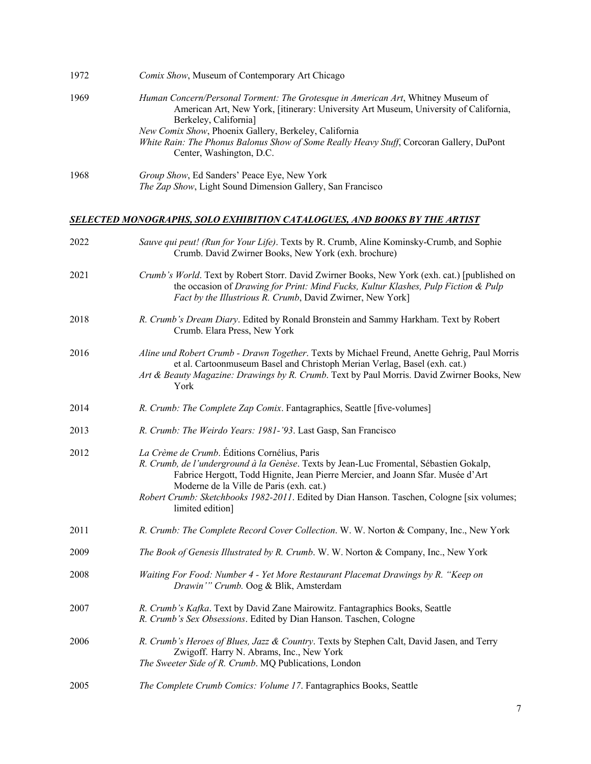| 1972 | <i>Comix Show</i> , Museum of Contemporary Art Chicago                                                                                                                                                                                                                                                                                                         |
|------|----------------------------------------------------------------------------------------------------------------------------------------------------------------------------------------------------------------------------------------------------------------------------------------------------------------------------------------------------------------|
| 1969 | <i>Human Concern/Personal Torment: The Grotesque in American Art</i> , Whitney Museum of<br>American Art, New York, [itinerary: University Art Museum, University of California,<br>Berkeley, California]<br>New Comix Show, Phoenix Gallery, Berkeley, California<br>White Rain: The Phonus Balonus Show of Some Really Heavy Stuff, Corcoran Gallery, DuPont |
|      | Center, Washington, D.C.                                                                                                                                                                                                                                                                                                                                       |
| 1968 | <i>Group Show</i> , Ed Sanders' Peace Eye, New York<br>The Zap Show, Light Sound Dimension Gallery, San Francisco                                                                                                                                                                                                                                              |

# *SELECTED MONOGRAPHS, SOLO EXHIBITION CATALOGUES, AND BOOKS BY THE ARTIST*

| 2022 | Sauve qui peut! (Run for Your Life). Texts by R. Crumb, Aline Kominsky-Crumb, and Sophie<br>Crumb. David Zwirner Books, New York (exh. brochure)                                                                                                                                                                                                                                        |
|------|-----------------------------------------------------------------------------------------------------------------------------------------------------------------------------------------------------------------------------------------------------------------------------------------------------------------------------------------------------------------------------------------|
| 2021 | Crumb's World. Text by Robert Storr. David Zwirner Books, New York (exh. cat.) [published on<br>the occasion of Drawing for Print: Mind Fucks, Kultur Klashes, Pulp Fiction & Pulp<br>Fact by the Illustrious R. Crumb, David Zwirner, New York]                                                                                                                                        |
| 2018 | R. Crumb's Dream Diary. Edited by Ronald Bronstein and Sammy Harkham. Text by Robert<br>Crumb. Elara Press, New York                                                                                                                                                                                                                                                                    |
| 2016 | Aline und Robert Crumb - Drawn Together. Texts by Michael Freund, Anette Gehrig, Paul Morris<br>et al. Cartoonmuseum Basel and Christoph Merian Verlag, Basel (exh. cat.)<br>Art & Beauty Magazine: Drawings by R. Crumb. Text by Paul Morris. David Zwirner Books, New<br>York                                                                                                         |
| 2014 | R. Crumb: The Complete Zap Comix. Fantagraphics, Seattle [five-volumes]                                                                                                                                                                                                                                                                                                                 |
| 2013 | R. Crumb: The Weirdo Years: 1981-'93. Last Gasp, San Francisco                                                                                                                                                                                                                                                                                                                          |
| 2012 | La Crème de Crumb. Éditions Cornélius, Paris<br>R. Crumb, de l'underground à la Genèse. Texts by Jean-Luc Fromental, Sébastien Gokalp,<br>Fabrice Hergott, Todd Hignite, Jean Pierre Mercier, and Joann Sfar. Musée d'Art<br>Moderne de la Ville de Paris (exh. cat.)<br>Robert Crumb: Sketchbooks 1982-2011. Edited by Dian Hanson. Taschen, Cologne [six volumes;<br>limited edition] |
| 2011 | R. Crumb: The Complete Record Cover Collection. W. W. Norton & Company, Inc., New York                                                                                                                                                                                                                                                                                                  |
| 2009 | The Book of Genesis Illustrated by R. Crumb. W. W. Norton & Company, Inc., New York                                                                                                                                                                                                                                                                                                     |
| 2008 | Waiting For Food: Number 4 - Yet More Restaurant Placemat Drawings by R. "Keep on<br>Drawin'" Crumb. Oog & Blik, Amsterdam                                                                                                                                                                                                                                                              |
| 2007 | R. Crumb's Kafka. Text by David Zane Mairowitz. Fantagraphics Books, Seattle<br>R. Crumb's Sex Obsessions. Edited by Dian Hanson. Taschen, Cologne                                                                                                                                                                                                                                      |
| 2006 | R. Crumb's Heroes of Blues, Jazz & Country. Texts by Stephen Calt, David Jasen, and Terry<br>Zwigoff. Harry N. Abrams, Inc., New York<br>The Sweeter Side of R. Crumb. MQ Publications, London                                                                                                                                                                                          |
| 2005 | The Complete Crumb Comics: Volume 17. Fantagraphics Books, Seattle                                                                                                                                                                                                                                                                                                                      |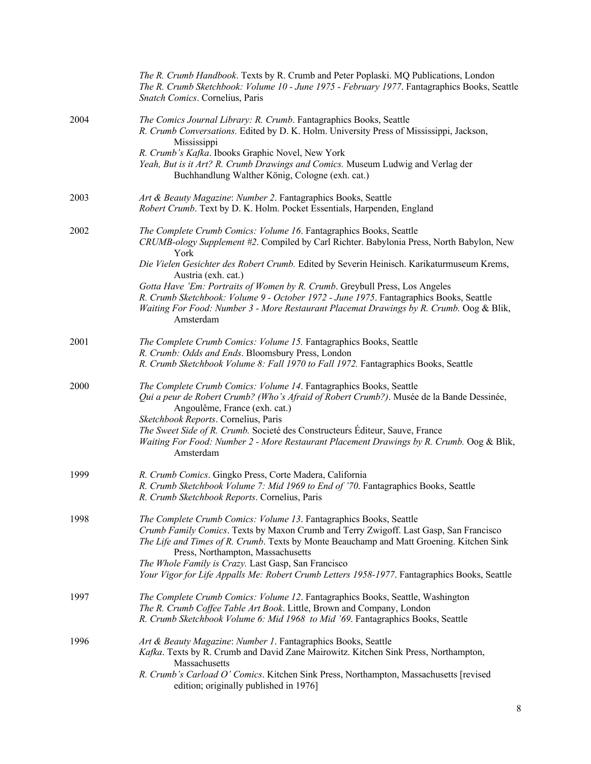|      | The R. Crumb Handbook. Texts by R. Crumb and Peter Poplaski. MQ Publications, London<br>The R. Crumb Sketchbook: Volume 10 - June 1975 - February 1977. Fantagraphics Books, Seattle<br>Snatch Comics. Cornelius, Paris                                                                                                                                                                                                                             |
|------|-----------------------------------------------------------------------------------------------------------------------------------------------------------------------------------------------------------------------------------------------------------------------------------------------------------------------------------------------------------------------------------------------------------------------------------------------------|
| 2004 | The Comics Journal Library: R. Crumb. Fantagraphics Books, Seattle<br>R. Crumb Conversations. Edited by D. K. Holm. University Press of Mississippi, Jackson,<br>Mississippi<br>R. Crumb's Kafka. Ibooks Graphic Novel, New York<br>Yeah, But is it Art? R. Crumb Drawings and Comics. Museum Ludwig and Verlag der<br>Buchhandlung Walther König, Cologne (exh. cat.)                                                                              |
| 2003 | Art & Beauty Magazine: Number 2. Fantagraphics Books, Seattle<br>Robert Crumb. Text by D. K. Holm. Pocket Essentials, Harpenden, England                                                                                                                                                                                                                                                                                                            |
| 2002 | The Complete Crumb Comics: Volume 16. Fantagraphics Books, Seattle<br>CRUMB-ology Supplement #2. Compiled by Carl Richter. Babylonia Press, North Babylon, New<br>York<br>Die Vielen Gesichter des Robert Crumb. Edited by Severin Heinisch. Karikaturmuseum Krems,                                                                                                                                                                                 |
|      | Austria (exh. cat.)<br>Gotta Have 'Em: Portraits of Women by R. Crumb. Greybull Press, Los Angeles<br>R. Crumb Sketchbook: Volume 9 - October 1972 - June 1975. Fantagraphics Books, Seattle<br>Waiting For Food: Number 3 - More Restaurant Placemat Drawings by R. Crumb. Oog & Blik,<br>Amsterdam                                                                                                                                                |
| 2001 | The Complete Crumb Comics: Volume 15. Fantagraphics Books, Seattle<br>R. Crumb: Odds and Ends. Bloomsbury Press, London<br>R. Crumb Sketchbook Volume 8: Fall 1970 to Fall 1972. Fantagraphics Books, Seattle                                                                                                                                                                                                                                       |
| 2000 | The Complete Crumb Comics: Volume 14. Fantagraphics Books, Seattle<br>Qui a peur de Robert Crumb? (Who's Afraid of Robert Crumb?). Musée de la Bande Dessinée,<br>Angoulême, France (exh. cat.)<br>Sketchbook Reports. Cornelius, Paris<br>The Sweet Side of R. Crumb. Societé des Constructeurs Éditeur, Sauve, France<br>Waiting For Food: Number 2 - More Restaurant Placement Drawings by R. Crumb. Oog & Blik,<br>Amsterdam                    |
| 1999 | R. Crumb Comics. Gingko Press, Corte Madera, California<br>R. Crumb Sketchbook Volume 7: Mid 1969 to End of '70. Fantagraphics Books, Seattle<br>R. Crumb Sketchbook Reports. Cornelius, Paris                                                                                                                                                                                                                                                      |
| 1998 | The Complete Crumb Comics: Volume 13. Fantagraphics Books, Seattle<br>Crumb Family Comics. Texts by Maxon Crumb and Terry Zwigoff. Last Gasp, San Francisco<br>The Life and Times of R. Crumb. Texts by Monte Beauchamp and Matt Groening. Kitchen Sink<br>Press, Northampton, Massachusetts<br>The Whole Family is Crazy. Last Gasp, San Francisco<br>Your Vigor for Life Appalls Me: Robert Crumb Letters 1958-1977. Fantagraphics Books, Seattle |
| 1997 | The Complete Crumb Comics: Volume 12. Fantagraphics Books, Seattle, Washington<br>The R. Crumb Coffee Table Art Book. Little, Brown and Company, London<br>R. Crumb Sketchbook Volume 6: Mid 1968 to Mid '69. Fantagraphics Books, Seattle                                                                                                                                                                                                          |
| 1996 | Art & Beauty Magazine: Number 1. Fantagraphics Books, Seattle<br>Kafka. Texts by R. Crumb and David Zane Mairowitz. Kitchen Sink Press, Northampton,<br>Massachusetts<br>R. Crumb's Carload O' Comics. Kitchen Sink Press, Northampton, Massachusetts [revised<br>edition; originally published in 1976]                                                                                                                                            |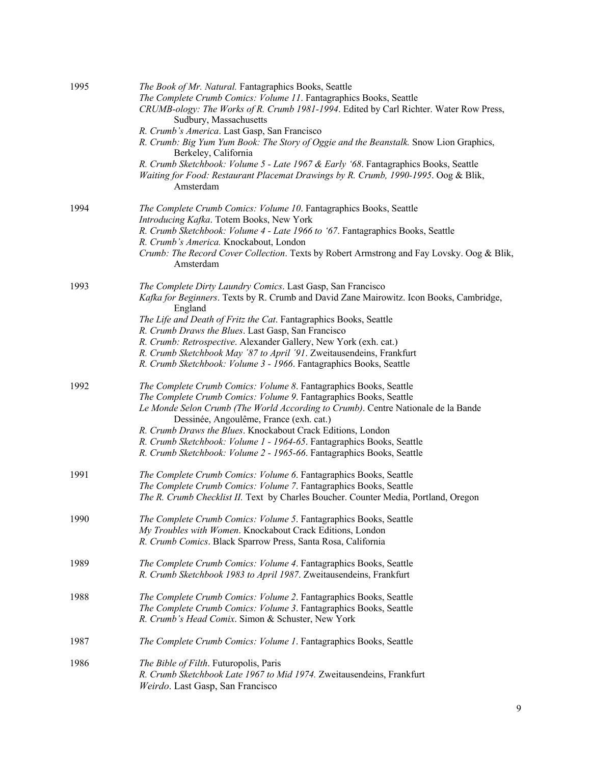| 1995 | The Book of Mr. Natural. Fantagraphics Books, Seattle<br>The Complete Crumb Comics: Volume 11. Fantagraphics Books, Seattle<br>CRUMB-ology: The Works of R. Crumb 1981-1994. Edited by Carl Richter. Water Row Press,<br>Sudbury, Massachusetts<br>R. Crumb's America. Last Gasp, San Francisco<br>R. Crumb: Big Yum Yum Book: The Story of Oggie and the Beanstalk. Snow Lion Graphics,<br>Berkeley, California<br>R. Crumb Sketchbook: Volume 5 - Late 1967 & Early '68. Fantagraphics Books, Seattle<br>Waiting for Food: Restaurant Placemat Drawings by R. Crumb, 1990-1995. Oog & Blik,<br>Amsterdam |
|------|------------------------------------------------------------------------------------------------------------------------------------------------------------------------------------------------------------------------------------------------------------------------------------------------------------------------------------------------------------------------------------------------------------------------------------------------------------------------------------------------------------------------------------------------------------------------------------------------------------|
| 1994 | The Complete Crumb Comics: Volume 10. Fantagraphics Books, Seattle<br>Introducing Kafka. Totem Books, New York<br>R. Crumb Sketchbook: Volume 4 - Late 1966 to '67. Fantagraphics Books, Seattle<br>R. Crumb's America. Knockabout, London<br>Crumb: The Record Cover Collection. Texts by Robert Armstrong and Fay Lovsky. Oog & Blik,<br>Amsterdam                                                                                                                                                                                                                                                       |
| 1993 | The Complete Dirty Laundry Comics. Last Gasp, San Francisco<br>Kafka for Beginners. Texts by R. Crumb and David Zane Mairowitz. Icon Books, Cambridge,<br>England<br>The Life and Death of Fritz the Cat. Fantagraphics Books, Seattle<br>R. Crumb Draws the Blues. Last Gasp, San Francisco<br>R. Crumb: Retrospective. Alexander Gallery, New York (exh. cat.)<br>R. Crumb Sketchbook May '87 to April '91. Zweitausendeins, Frankfurt<br>R. Crumb Sketchbook: Volume 3 - 1966. Fantagraphics Books, Seattle                                                                                             |
| 1992 | The Complete Crumb Comics: Volume 8. Fantagraphics Books, Seattle<br>The Complete Crumb Comics: Volume 9. Fantagraphics Books, Seattle<br>Le Monde Selon Crumb (The World According to Crumb). Centre Nationale de la Bande<br>Dessinée, Angoulême, France (exh. cat.)<br>R. Crumb Draws the Blues. Knockabout Crack Editions, London<br>R. Crumb Sketchbook: Volume 1 - 1964-65. Fantagraphics Books, Seattle<br>R. Crumb Sketchbook: Volume 2 - 1965-66. Fantagraphics Books, Seattle                                                                                                                    |
| 1991 | The Complete Crumb Comics: Volume 6. Fantagraphics Books, Seattle<br>The Complete Crumb Comics: Volume 7. Fantagraphics Books, Seattle<br>The R. Crumb Checklist II. Text by Charles Boucher. Counter Media, Portland, Oregon                                                                                                                                                                                                                                                                                                                                                                              |
| 1990 | The Complete Crumb Comics: Volume 5. Fantagraphics Books, Seattle<br>My Troubles with Women. Knockabout Crack Editions, London<br>R. Crumb Comics. Black Sparrow Press, Santa Rosa, California                                                                                                                                                                                                                                                                                                                                                                                                             |
| 1989 | The Complete Crumb Comics: Volume 4. Fantagraphics Books, Seattle<br>R. Crumb Sketchbook 1983 to April 1987. Zweitausendeins, Frankfurt                                                                                                                                                                                                                                                                                                                                                                                                                                                                    |
| 1988 | The Complete Crumb Comics: Volume 2. Fantagraphics Books, Seattle<br>The Complete Crumb Comics: Volume 3. Fantagraphics Books, Seattle<br>R. Crumb's Head Comix. Simon & Schuster, New York                                                                                                                                                                                                                                                                                                                                                                                                                |
| 1987 | The Complete Crumb Comics: Volume 1. Fantagraphics Books, Seattle                                                                                                                                                                                                                                                                                                                                                                                                                                                                                                                                          |
| 1986 | The Bible of Filth. Futuropolis, Paris<br>R. Crumb Sketchbook Late 1967 to Mid 1974. Zweitausendeins, Frankfurt<br>Weirdo. Last Gasp, San Francisco                                                                                                                                                                                                                                                                                                                                                                                                                                                        |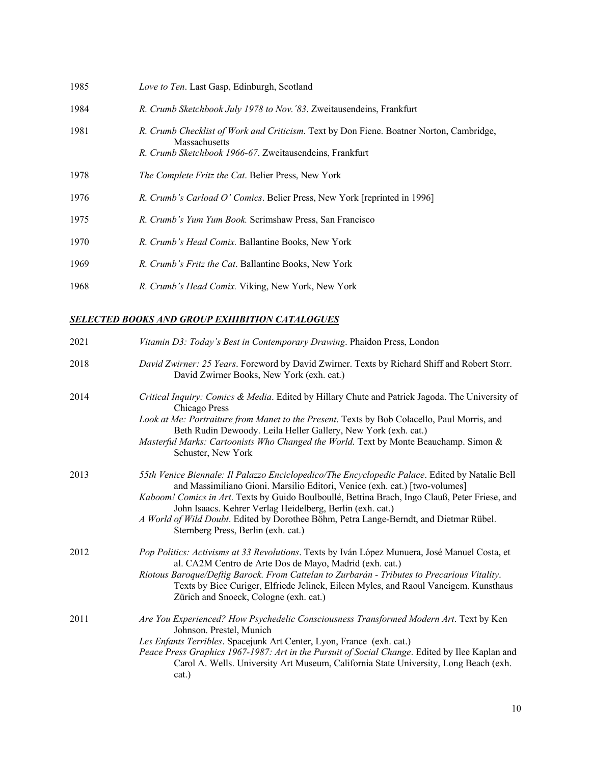| 1985 | Love to Ten. Last Gasp, Edinburgh, Scotland                                                                                                                         |
|------|---------------------------------------------------------------------------------------------------------------------------------------------------------------------|
| 1984 | R. Crumb Sketchbook July 1978 to Nov. '83. Zweitausendeins, Frankfurt                                                                                               |
| 1981 | R. Crumb Checklist of Work and Criticism. Text by Don Fiene. Boatner Norton, Cambridge,<br>Massachusetts<br>R. Crumb Sketchbook 1966-67. Zweitausendeins, Frankfurt |
| 1978 | The Complete Fritz the Cat. Belier Press, New York                                                                                                                  |
| 1976 | R. Crumb's Carload O' Comics. Belier Press, New York [reprinted in 1996]                                                                                            |
| 1975 | R. Crumb's Yum Yum Book. Scrimshaw Press, San Francisco                                                                                                             |
| 1970 | R. Crumb's Head Comix. Ballantine Books, New York                                                                                                                   |
| 1969 | R. Crumb's Fritz the Cat. Ballantine Books, New York                                                                                                                |
| 1968 | <i>R. Crumb's Head Comix.</i> Viking, New York, New York                                                                                                            |

# *SELECTED BOOKS AND GROUP EXHIBITION CATALOGUES*

| 2021 | Vitamin D3: Today's Best in Contemporary Drawing. Phaidon Press, London                                                                                                                                                                                                                                                                                                                                                                                                      |
|------|------------------------------------------------------------------------------------------------------------------------------------------------------------------------------------------------------------------------------------------------------------------------------------------------------------------------------------------------------------------------------------------------------------------------------------------------------------------------------|
| 2018 | David Zwirner: 25 Years. Foreword by David Zwirner. Texts by Richard Shiff and Robert Storr.<br>David Zwirner Books, New York (exh. cat.)                                                                                                                                                                                                                                                                                                                                    |
| 2014 | Critical Inquiry: Comics & Media. Edited by Hillary Chute and Patrick Jagoda. The University of<br>Chicago Press<br>Look at Me: Portraiture from Manet to the Present. Texts by Bob Colacello, Paul Morris, and<br>Beth Rudin Dewoody. Leila Heller Gallery, New York (exh. cat.)<br>Masterful Marks: Cartoonists Who Changed the World. Text by Monte Beauchamp. Simon &<br>Schuster, New York                                                                              |
| 2013 | 55th Venice Biennale: Il Palazzo Enciclopedico/The Encyclopedic Palace. Edited by Natalie Bell<br>and Massimiliano Gioni. Marsilio Editori, Venice (exh. cat.) [two-volumes]<br>Kaboom! Comics in Art. Texts by Guido Boulboullé, Bettina Brach, Ingo Clauß, Peter Friese, and<br>John Isaacs. Kehrer Verlag Heidelberg, Berlin (exh. cat.)<br>A World of Wild Doubt. Edited by Dorothee Böhm, Petra Lange-Berndt, and Dietmar Rübel.<br>Sternberg Press, Berlin (exh. cat.) |
| 2012 | Pop Politics: Activisms at 33 Revolutions. Texts by Iván López Munuera, José Manuel Costa, et<br>al. CA2M Centro de Arte Dos de Mayo, Madrid (exh. cat.)<br>Riotous Baroque/Deftig Barock. From Cattelan to Zurbarán - Tributes to Precarious Vitality.<br>Texts by Bice Curiger, Elfriede Jelinek, Eileen Myles, and Raoul Vaneigem. Kunsthaus<br>Zürich and Snoeck, Cologne (exh. cat.)                                                                                    |
| 2011 | Are You Experienced? How Psychedelic Consciousness Transformed Modern Art. Text by Ken<br>Johnson. Prestel, Munich<br>Les Enfants Terribles. Spacejunk Art Center, Lyon, France (exh. cat.)<br>Peace Press Graphics 1967-1987: Art in the Pursuit of Social Change. Edited by Ilee Kaplan and<br>Carol A. Wells. University Art Museum, California State University, Long Beach (exh.<br>cat.)                                                                               |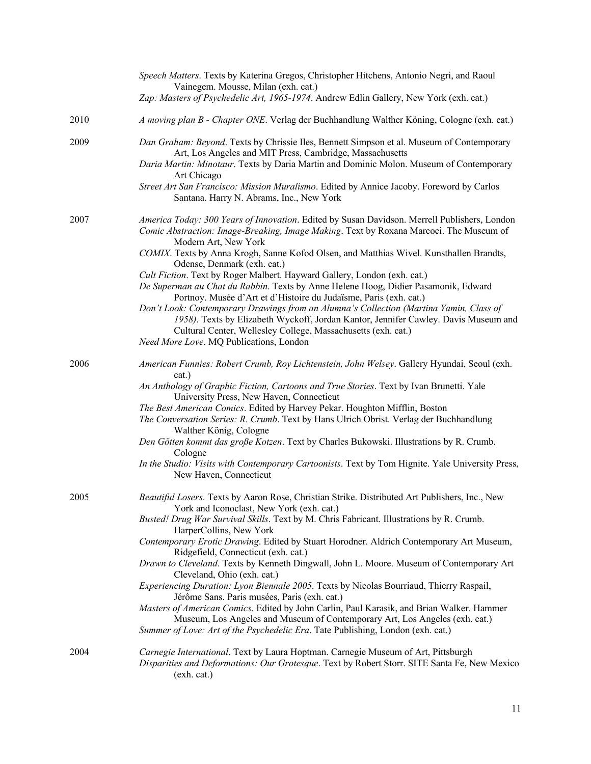|      | Speech Matters. Texts by Katerina Gregos, Christopher Hitchens, Antonio Negri, and Raoul<br>Vainegem. Mousse, Milan (exh. cat.)<br>Zap: Masters of Psychedelic Art, 1965-1974. Andrew Edlin Gallery, New York (exh. cat.)                                                                                                                                                                                                                                                                                                                                                                                                                                                                                                                                                                                                                                                                                                                  |
|------|--------------------------------------------------------------------------------------------------------------------------------------------------------------------------------------------------------------------------------------------------------------------------------------------------------------------------------------------------------------------------------------------------------------------------------------------------------------------------------------------------------------------------------------------------------------------------------------------------------------------------------------------------------------------------------------------------------------------------------------------------------------------------------------------------------------------------------------------------------------------------------------------------------------------------------------------|
|      |                                                                                                                                                                                                                                                                                                                                                                                                                                                                                                                                                                                                                                                                                                                                                                                                                                                                                                                                            |
| 2010 | A moving plan B - Chapter ONE. Verlag der Buchhandlung Walther Köning, Cologne (exh. cat.)                                                                                                                                                                                                                                                                                                                                                                                                                                                                                                                                                                                                                                                                                                                                                                                                                                                 |
| 2009 | Dan Graham: Beyond. Texts by Chrissie Iles, Bennett Simpson et al. Museum of Contemporary<br>Art, Los Angeles and MIT Press, Cambridge, Massachusetts<br>Daria Martin: Minotaur. Texts by Daria Martin and Dominic Molon. Museum of Contemporary<br>Art Chicago<br>Street Art San Francisco: Mission Muralismo. Edited by Annice Jacoby. Foreword by Carlos                                                                                                                                                                                                                                                                                                                                                                                                                                                                                                                                                                                |
|      | Santana. Harry N. Abrams, Inc., New York                                                                                                                                                                                                                                                                                                                                                                                                                                                                                                                                                                                                                                                                                                                                                                                                                                                                                                   |
| 2007 | America Today: 300 Years of Innovation. Edited by Susan Davidson. Merrell Publishers, London<br>Comic Abstraction: Image-Breaking, Image Making. Text by Roxana Marcoci. The Museum of<br>Modern Art, New York<br>COMIX. Texts by Anna Krogh, Sanne Kofod Olsen, and Matthias Wivel. Kunsthallen Brandts,<br>Odense, Denmark (exh. cat.)<br>Cult Fiction. Text by Roger Malbert. Hayward Gallery, London (exh. cat.)                                                                                                                                                                                                                                                                                                                                                                                                                                                                                                                       |
|      | De Superman au Chat du Rabbin. Texts by Anne Helene Hoog, Didier Pasamonik, Edward<br>Portnoy. Musée d'Art et d'Histoire du Judaïsme, Paris (exh. cat.)<br>Don't Look: Contemporary Drawings from an Alumna's Collection (Martina Yamin, Class of<br>1958). Texts by Elizabeth Wyckoff, Jordan Kantor, Jennifer Cawley. Davis Museum and<br>Cultural Center, Wellesley College, Massachusetts (exh. cat.)<br>Need More Love. MQ Publications, London                                                                                                                                                                                                                                                                                                                                                                                                                                                                                       |
| 2006 | American Funnies: Robert Crumb, Roy Lichtenstein, John Welsey. Gallery Hyundai, Seoul (exh.<br>cat.)                                                                                                                                                                                                                                                                                                                                                                                                                                                                                                                                                                                                                                                                                                                                                                                                                                       |
|      | An Anthology of Graphic Fiction, Cartoons and True Stories. Text by Ivan Brunetti. Yale<br>University Press, New Haven, Connecticut<br>The Best American Comics. Edited by Harvey Pekar. Houghton Mifflin, Boston<br>The Conversation Series: R. Crumb. Text by Hans Ulrich Obrist. Verlag der Buchhandlung<br>Walther König, Cologne<br>Den Götten kommt das große Kotzen. Text by Charles Bukowski. Illustrations by R. Crumb.<br>Cologne<br>In the Studio: Visits with Contemporary Cartoonists. Text by Tom Hignite. Yale University Press,<br>New Haven, Connecticut                                                                                                                                                                                                                                                                                                                                                                  |
| 2005 | Beautiful Losers. Texts by Aaron Rose, Christian Strike. Distributed Art Publishers, Inc., New<br>York and Iconoclast, New York (exh. cat.)<br>Busted! Drug War Survival Skills. Text by M. Chris Fabricant. Illustrations by R. Crumb.<br>HarperCollins, New York<br>Contemporary Erotic Drawing. Edited by Stuart Horodner. Aldrich Contemporary Art Museum,<br>Ridgefield, Connecticut (exh. cat.)<br>Drawn to Cleveland. Texts by Kenneth Dingwall, John L. Moore. Museum of Contemporary Art<br>Cleveland, Ohio (exh. cat.)<br>Experiencing Duration: Lyon Biennale 2005. Texts by Nicolas Bourriaud, Thierry Raspail,<br>Jérôme Sans. Paris musées, Paris (exh. cat.)<br>Masters of American Comics. Edited by John Carlin, Paul Karasik, and Brian Walker. Hammer<br>Museum, Los Angeles and Museum of Contemporary Art, Los Angeles (exh. cat.)<br>Summer of Love: Art of the Psychedelic Era. Tate Publishing, London (exh. cat.) |
| 2004 | Carnegie International. Text by Laura Hoptman. Carnegie Museum of Art, Pittsburgh<br>Disparities and Deformations: Our Grotesque. Text by Robert Storr. SITE Santa Fe, New Mexico<br>(exh. cat.)                                                                                                                                                                                                                                                                                                                                                                                                                                                                                                                                                                                                                                                                                                                                           |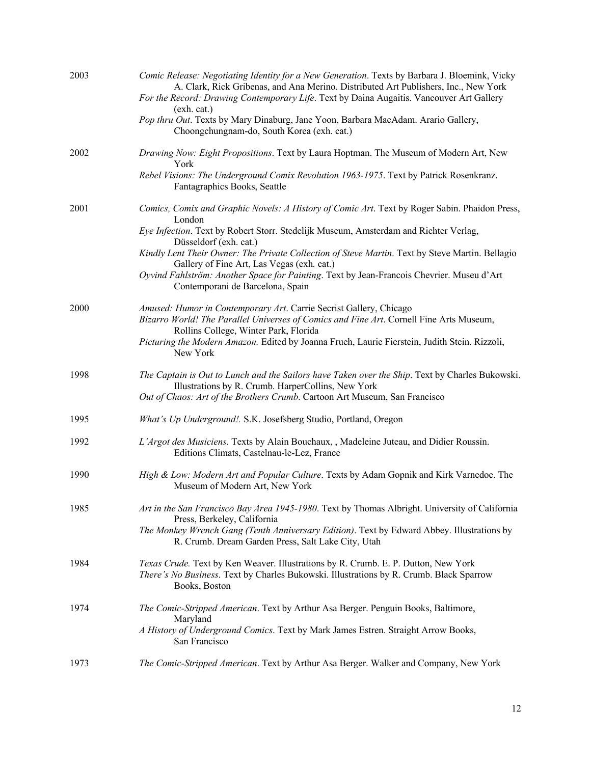| 2003 | Comic Release: Negotiating Identity for a New Generation. Texts by Barbara J. Bloemink, Vicky<br>A. Clark, Rick Gribenas, and Ana Merino. Distributed Art Publishers, Inc., New York<br>For the Record: Drawing Contemporary Life. Text by Daina Augaitis. Vancouver Art Gallery<br>(exh. cat.) |
|------|-------------------------------------------------------------------------------------------------------------------------------------------------------------------------------------------------------------------------------------------------------------------------------------------------|
|      | Pop thru Out. Texts by Mary Dinaburg, Jane Yoon, Barbara MacAdam. Arario Gallery,<br>Choongchungnam-do, South Korea (exh. cat.)                                                                                                                                                                 |
| 2002 | Drawing Now: Eight Propositions. Text by Laura Hoptman. The Museum of Modern Art, New<br>York                                                                                                                                                                                                   |
|      | Rebel Visions: The Underground Comix Revolution 1963-1975. Text by Patrick Rosenkranz.<br>Fantagraphics Books, Seattle                                                                                                                                                                          |
| 2001 | Comics, Comix and Graphic Novels: A History of Comic Art. Text by Roger Sabin. Phaidon Press,<br>London                                                                                                                                                                                         |
|      | Eye Infection. Text by Robert Storr. Stedelijk Museum, Amsterdam and Richter Verlag,<br>Düsseldorf (exh. cat.)                                                                                                                                                                                  |
|      | Kindly Lent Their Owner: The Private Collection of Steve Martin. Text by Steve Martin. Bellagio<br>Gallery of Fine Art, Las Vegas (exh. cat.)                                                                                                                                                   |
|      | Oyvind Fahlström: Another Space for Painting. Text by Jean-Francois Chevrier. Museu d'Art<br>Contemporani de Barcelona, Spain                                                                                                                                                                   |
| 2000 | Amused: Humor in Contemporary Art. Carrie Secrist Gallery, Chicago<br>Bizarro World! The Parallel Universes of Comics and Fine Art. Cornell Fine Arts Museum,<br>Rollins College, Winter Park, Florida                                                                                          |
|      | Picturing the Modern Amazon. Edited by Joanna Frueh, Laurie Fierstein, Judith Stein. Rizzoli,<br>New York                                                                                                                                                                                       |
| 1998 | The Captain is Out to Lunch and the Sailors have Taken over the Ship. Text by Charles Bukowski.<br>Illustrations by R. Crumb. HarperCollins, New York<br>Out of Chaos: Art of the Brothers Crumb. Cartoon Art Museum, San Francisco                                                             |
| 1995 | What's Up Underground!. S.K. Josefsberg Studio, Portland, Oregon                                                                                                                                                                                                                                |
| 1992 | L'Argot des Musiciens. Texts by Alain Bouchaux, , Madeleine Juteau, and Didier Roussin.<br>Editions Climats, Castelnau-le-Lez, France                                                                                                                                                           |
| 1990 | High & Low: Modern Art and Popular Culture. Texts by Adam Gopnik and Kirk Varnedoe. The<br>Museum of Modern Art, New York                                                                                                                                                                       |
| 1985 | Art in the San Francisco Bay Area 1945-1980. Text by Thomas Albright. University of California<br>Press, Berkeley, California                                                                                                                                                                   |
|      | The Monkey Wrench Gang (Tenth Anniversary Edition). Text by Edward Abbey. Illustrations by<br>R. Crumb. Dream Garden Press, Salt Lake City, Utah                                                                                                                                                |
| 1984 | Texas Crude. Text by Ken Weaver. Illustrations by R. Crumb. E. P. Dutton, New York<br>There's No Business. Text by Charles Bukowski. Illustrations by R. Crumb. Black Sparrow<br>Books, Boston                                                                                                  |
| 1974 | The Comic-Stripped American. Text by Arthur Asa Berger. Penguin Books, Baltimore,<br>Maryland                                                                                                                                                                                                   |
|      | A History of Underground Comics. Text by Mark James Estren. Straight Arrow Books,<br>San Francisco                                                                                                                                                                                              |
| 1973 | The Comic-Stripped American. Text by Arthur Asa Berger. Walker and Company, New York                                                                                                                                                                                                            |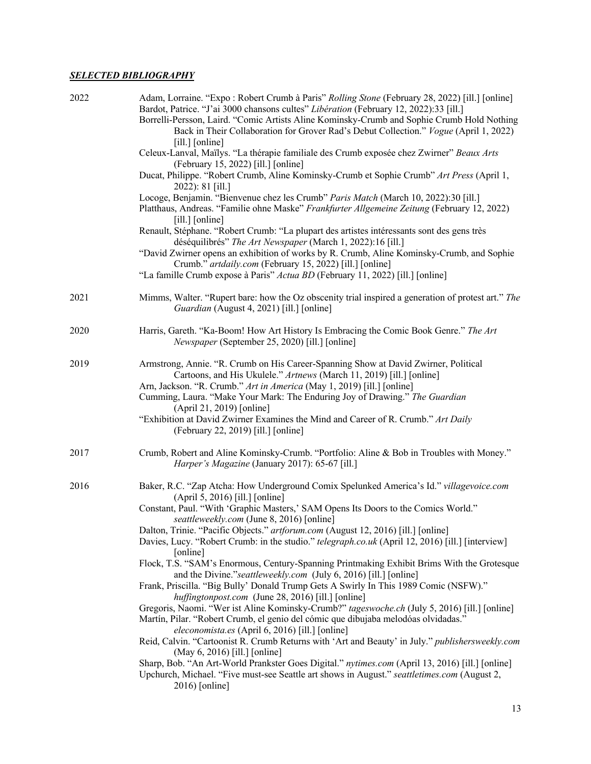# *SELECTED BIBLIOGRAPHY*

| 2022 | Adam, Lorraine. "Expo : Robert Crumb à Paris" Rolling Stone (February 28, 2022) [ill.] [online]<br>Bardot, Patrice. "J'ai 3000 chansons cultes" Libération (February 12, 2022):33 [ill.]<br>Borrelli-Persson, Laird. "Comic Artists Aline Kominsky-Crumb and Sophie Crumb Hold Nothing<br>Back in Their Collaboration for Grover Rad's Debut Collection." Vogue (April 1, 2022)<br>$[i]$ [online]                                                                             |
|------|-------------------------------------------------------------------------------------------------------------------------------------------------------------------------------------------------------------------------------------------------------------------------------------------------------------------------------------------------------------------------------------------------------------------------------------------------------------------------------|
|      | Celeux-Lanval, Maïlys. "La thérapie familiale des Crumb exposée chez Zwirner" Beaux Arts<br>(February 15, 2022) [ill.] [online]                                                                                                                                                                                                                                                                                                                                               |
|      | Ducat, Philippe. "Robert Crumb, Aline Kominsky-Crumb et Sophie Crumb" Art Press (April 1,<br>2022): 81 [ill.]                                                                                                                                                                                                                                                                                                                                                                 |
|      | Locoge, Benjamin. "Bienvenue chez les Crumb" Paris Match (March 10, 2022):30 [ill.]<br>Platthaus, Andreas. "Familie ohne Maske" Frankfurter Allgemeine Zeitung (February 12, 2022)<br>[ill.] [online]                                                                                                                                                                                                                                                                         |
|      | Renault, Stéphane. "Robert Crumb: "La plupart des artistes intéressants sont des gens très<br>déséquilibrés" The Art Newspaper (March 1, 2022):16 [ill.]                                                                                                                                                                                                                                                                                                                      |
|      | "David Zwirner opens an exhibition of works by R. Crumb, Aline Kominsky-Crumb, and Sophie<br>Crumb." artdaily.com (February 15, 2022) [ill.] [online]                                                                                                                                                                                                                                                                                                                         |
|      | "La famille Crumb expose à Paris" Actua BD (February 11, 2022) [ill.] [online]                                                                                                                                                                                                                                                                                                                                                                                                |
| 2021 | Mimms, Walter. "Rupert bare: how the Oz obscenity trial inspired a generation of protest art." The<br>Guardian (August 4, 2021) [ill.] [online]                                                                                                                                                                                                                                                                                                                               |
| 2020 | Harris, Gareth. "Ka-Boom! How Art History Is Embracing the Comic Book Genre." The Art<br>Newspaper (September 25, 2020) [ill.] [online]                                                                                                                                                                                                                                                                                                                                       |
| 2019 | Armstrong, Annie. "R. Crumb on His Career-Spanning Show at David Zwirner, Political<br>Cartoons, and His Ukulele." Artnews (March 11, 2019) [ill.] [online]<br>Arn, Jackson. "R. Crumb." Art in America (May 1, 2019) [ill.] [online]<br>Cumming, Laura. "Make Your Mark: The Enduring Joy of Drawing." The Guardian<br>(April 21, 2019) [online]<br>"Exhibition at David Zwirner Examines the Mind and Career of R. Crumb." Art Daily<br>(February 22, 2019) [ill.] [online] |
| 2017 | Crumb, Robert and Aline Kominsky-Crumb. "Portfolio: Aline & Bob in Troubles with Money."<br>Harper's Magazine (January 2017): 65-67 [ill.]                                                                                                                                                                                                                                                                                                                                    |
| 2016 | Baker, R.C. "Zap Atcha: How Underground Comix Spelunked America's Id." villagevoice.com<br>(April 5, 2016) [ill.] [online]<br>Constant, Paul. "With 'Graphic Masters,' SAM Opens Its Doors to the Comics World."<br>seattleweekly.com (June 8, 2016) [online]                                                                                                                                                                                                                 |
|      | Dalton, Trinie. "Pacific Objects." artforum.com (August 12, 2016) [ill.] [online]<br>Davies, Lucy. "Robert Crumb: in the studio." telegraph.co.uk (April 12, 2016) [ill.] [interview]<br>[online]                                                                                                                                                                                                                                                                             |
|      | Flock, T.S. "SAM's Enormous, Century-Spanning Printmaking Exhibit Brims With the Grotesque<br>and the Divine." seattleweekly.com (July 6, 2016) [ill.] [online]<br>Frank, Priscilla. "Big Bully' Donald Trump Gets A Swirly In This 1989 Comic (NSFW)."                                                                                                                                                                                                                       |
|      | huffingtonpost.com (June 28, 2016) [ill.] [online]<br>Gregoris, Naomi. "Wer ist Aline Kominsky-Crumb?" tageswoche.ch (July 5, 2016) [ill.] [online]<br>Martín, Pilar. "Robert Crumb, el genio del cómic que dibujaba melodóas olvidadas."<br>eleconomista.es (April 6, 2016) [ill.] [online]                                                                                                                                                                                  |
|      | Reid, Calvin. "Cartoonist R. Crumb Returns with 'Art and Beauty' in July." publishersweekly.com<br>(May 6, 2016) [ill.] [online]                                                                                                                                                                                                                                                                                                                                              |
|      | Sharp, Bob. "An Art-World Prankster Goes Digital." nytimes.com (April 13, 2016) [ill.] [online]<br>Upchurch, Michael. "Five must-see Seattle art shows in August." seattletimes.com (August 2,<br>$2016$ ) [online]                                                                                                                                                                                                                                                           |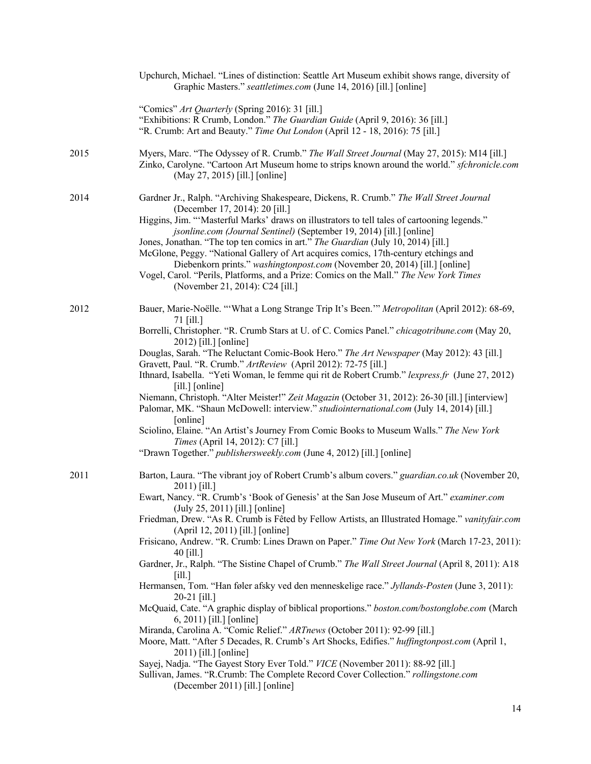|      | Upchurch, Michael. "Lines of distinction: Seattle Art Museum exhibit shows range, diversity of<br>Graphic Masters." seattletimes.com (June 14, 2016) [ill.] [online]                                                                                                                                                                                                                                                                                                                                                                                                                                                                                                                                                                                                                                                                                                                                                                                                                                                                                                                                                                                                                                                                                                                   |
|------|----------------------------------------------------------------------------------------------------------------------------------------------------------------------------------------------------------------------------------------------------------------------------------------------------------------------------------------------------------------------------------------------------------------------------------------------------------------------------------------------------------------------------------------------------------------------------------------------------------------------------------------------------------------------------------------------------------------------------------------------------------------------------------------------------------------------------------------------------------------------------------------------------------------------------------------------------------------------------------------------------------------------------------------------------------------------------------------------------------------------------------------------------------------------------------------------------------------------------------------------------------------------------------------|
|      | "Comics" Art Quarterly (Spring 2016): 31 [ill.]<br>"Exhibitions: R Crumb, London." The Guardian Guide (April 9, 2016): 36 [ill.]<br>"R. Crumb: Art and Beauty." Time Out London (April 12 - 18, 2016): 75 [ill.]                                                                                                                                                                                                                                                                                                                                                                                                                                                                                                                                                                                                                                                                                                                                                                                                                                                                                                                                                                                                                                                                       |
| 2015 | Myers, Marc. "The Odyssey of R. Crumb." The Wall Street Journal (May 27, 2015): M14 [ill.]<br>Zinko, Carolyne. "Cartoon Art Museum home to strips known around the world." sfchronicle.com<br>(May 27, 2015) [ill.] [online]                                                                                                                                                                                                                                                                                                                                                                                                                                                                                                                                                                                                                                                                                                                                                                                                                                                                                                                                                                                                                                                           |
| 2014 | Gardner Jr., Ralph. "Archiving Shakespeare, Dickens, R. Crumb." The Wall Street Journal<br>(December 17, 2014): 20 [ill.]<br>Higgins, Jim. "'Masterful Marks' draws on illustrators to tell tales of cartooning legends."<br>jsonline.com (Journal Sentinel) (September 19, 2014) [ill.] [online]<br>Jones, Jonathan. "The top ten comics in art." The Guardian (July 10, 2014) [ill.]<br>McGlone, Peggy. "National Gallery of Art acquires comics, 17th-century etchings and<br>Diebenkorn prints." washingtonpost.com (November 20, 2014) [ill.] [online]<br>Vogel, Carol. "Perils, Platforms, and a Prize: Comics on the Mall." The New York Times<br>(November 21, 2014): C24 [ill.]                                                                                                                                                                                                                                                                                                                                                                                                                                                                                                                                                                                               |
| 2012 | Bauer, Marie-Noëlle. "'What a Long Strange Trip It's Been." Metropolitan (April 2012): 68-69,<br>71 [ill.]<br>Borrelli, Christopher. "R. Crumb Stars at U. of C. Comics Panel." chicagotribune.com (May 20,<br>2012) [ill.] [online]<br>Douglas, Sarah. "The Reluctant Comic-Book Hero." The Art Newspaper (May 2012): 43 [ill.]<br>Gravett, Paul. "R. Crumb." ArtReview (April 2012): 72-75 [ill.]<br>Ithnard, Isabella. "Yeti Woman, le femme qui rit de Robert Crumb." lexpress.fr (June 27, 2012)<br>$[i]$ [online]<br>Niemann, Christoph. "Alter Meister!" Zeit Magazin (October 31, 2012): 26-30 [ill.] [interview]<br>Palomar, MK. "Shaun McDowell: interview." studiointernational.com (July 14, 2014) [ill.]<br>[online]<br>Sciolino, Elaine. "An Artist's Journey From Comic Books to Museum Walls." The New York<br>Times (April 14, 2012): C7 [ill.]<br>"Drawn Together." publishersweekly.com (June 4, 2012) [ill.] [online]                                                                                                                                                                                                                                                                                                                                              |
| 2011 | Barton, Laura. "The vibrant joy of Robert Crumb's album covers." guardian.co.uk (November 20,<br>2011) [ill.]<br>Ewart, Nancy. "R. Crumb's 'Book of Genesis' at the San Jose Museum of Art." examiner.com<br>(July 25, 2011) [ill.] [online]<br>Friedman, Drew. "As R. Crumb is Fêted by Fellow Artists, an Illustrated Homage." vanityfair.com<br>(April 12, 2011) [ill.] [online]<br>Frisicano, Andrew. "R. Crumb: Lines Drawn on Paper." Time Out New York (March 17-23, 2011):<br>40 [ill.]<br>Gardner, Jr., Ralph. "The Sistine Chapel of Crumb." The Wall Street Journal (April 8, 2011): A18<br>$\lceil$ ill.]<br>Hermansen, Tom. "Han føler afsky ved den menneskelige race." Jyllands-Posten (June 3, 2011):<br>20-21 [ill.]<br>McQuaid, Cate. "A graphic display of biblical proportions." boston.com/bostonglobe.com (March<br>$(6, 2011)$ [ill.] [online]<br>Miranda, Carolina A. "Comic Relief." ARTnews (October 2011): 92-99 [ill.]<br>Moore, Matt. "After 5 Decades, R. Crumb's Art Shocks, Edifies." huffingtonpost.com (April 1,<br>2011) [ill.] [online]<br>Sayej, Nadja. "The Gayest Story Ever Told." VICE (November 2011): 88-92 [ill.]<br>Sullivan, James. "R.Crumb: The Complete Record Cover Collection." rollingstone.com<br>(December 2011) [ill.] [online] |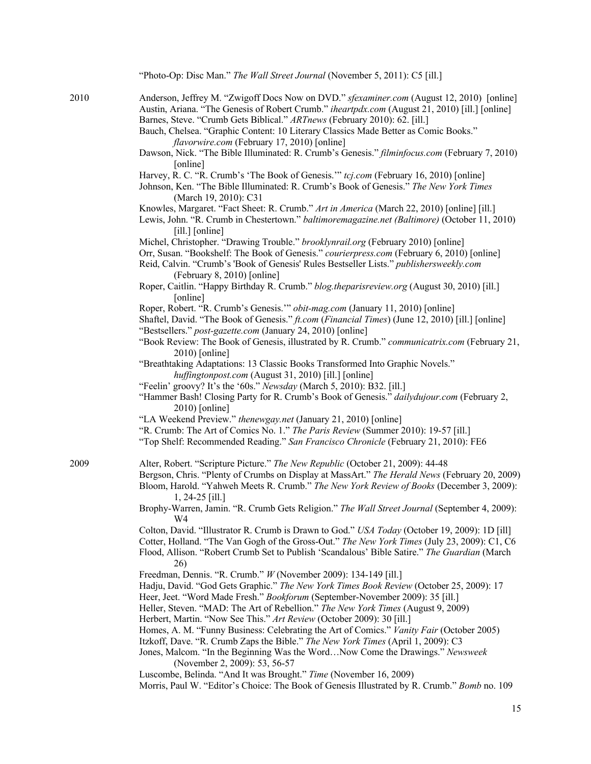|      | "Photo-Op: Disc Man." The Wall Street Journal (November 5, 2011): C5 [ill.]                                                                                                                                                                                                                                                           |
|------|---------------------------------------------------------------------------------------------------------------------------------------------------------------------------------------------------------------------------------------------------------------------------------------------------------------------------------------|
| 2010 | Anderson, Jeffrey M. "Zwigoff Docs Now on DVD." sfexaminer.com (August 12, 2010) [online]<br>Austin, Ariana. "The Genesis of Robert Crumb." iheartpdx.com (August 21, 2010) [ill.] [online]<br>Barnes, Steve. "Crumb Gets Biblical." ARTnews (February 2010): 62. [ill.]                                                              |
|      | Bauch, Chelsea. "Graphic Content: 10 Literary Classics Made Better as Comic Books."<br>flavorwire.com (February 17, 2010) [online]                                                                                                                                                                                                    |
|      | Dawson, Nick. "The Bible Illuminated: R. Crumb's Genesis." filminfocus.com (February 7, 2010)<br>[online]                                                                                                                                                                                                                             |
|      | Harvey, R. C. "R. Crumb's 'The Book of Genesis." tcj.com (February 16, 2010) [online]<br>Johnson, Ken. "The Bible Illuminated: R. Crumb's Book of Genesis." The New York Times<br>(March 19, 2010): C31                                                                                                                               |
|      | Knowles, Margaret. "Fact Sheet: R. Crumb." Art in America (March 22, 2010) [online] [ill.]<br>Lewis, John. "R. Crumb in Chestertown." baltimoremagazine.net (Baltimore) (October 11, 2010)<br>[ill.] [online]                                                                                                                         |
|      | Michel, Christopher. "Drawing Trouble." brooklynrail.org (February 2010) [online]<br>Orr, Susan. "Bookshelf: The Book of Genesis." courierpress.com (February 6, 2010) [online]<br>Reid, Calvin. "Crumb's 'Book of Genesis' Rules Bestseller Lists." publishersweekly.com<br>(February 8, 2010) [online]                              |
|      | Roper, Caitlin. "Happy Birthday R. Crumb." blog.theparisreview.org (August 30, 2010) [ill.]<br>[online]                                                                                                                                                                                                                               |
|      | Roper, Robert. "R. Crumb's Genesis." obit-mag.com (January 11, 2010) [online]<br>Shaftel, David. "The Book of Genesis." <i>ft.com (Financial Times)</i> (June 12, 2010) [ill.] [online]<br>"Bestsellers." post-gazette.com (January 24, 2010) [online]                                                                                |
|      | "Book Review: The Book of Genesis, illustrated by R. Crumb." communicatrix.com (February 21,<br>$2010$ [online]                                                                                                                                                                                                                       |
|      | "Breathtaking Adaptations: 13 Classic Books Transformed Into Graphic Novels."<br>huffingtonpost.com (August 31, 2010) [ill.] [online]                                                                                                                                                                                                 |
|      | "Feelin' groovy? It's the '60s." Newsday (March 5, 2010): B32. [ill.]<br>"Hammer Bash! Closing Party for R. Crumb's Book of Genesis." dailydujour.com (February 2,<br>2010) [online]                                                                                                                                                  |
|      | "LA Weekend Preview." thenewgay.net (January 21, 2010) [online]                                                                                                                                                                                                                                                                       |
|      | "R. Crumb: The Art of Comics No. 1." The Paris Review (Summer 2010): 19-57 [ill.]<br>"Top Shelf: Recommended Reading." San Francisco Chronicle (February 21, 2010): FE6                                                                                                                                                               |
| 2009 | Alter, Robert. "Scripture Picture." The New Republic (October 21, 2009): 44-48<br>Bergson, Chris. "Plenty of Crumbs on Display at MassArt." The Herald News (February 20, 2009)<br>Bloom, Harold. "Yahweh Meets R. Crumb." The New York Review of Books (December 3, 2009):                                                           |
|      | $1, 24-25$ [ill.]<br>Brophy-Warren, Jamin. "R. Crumb Gets Religion." The Wall Street Journal (September 4, 2009):<br>W <sub>4</sub>                                                                                                                                                                                                   |
|      | Colton, David. "Illustrator R. Crumb is Drawn to God." USA Today (October 19, 2009): 1D [ill]<br>Cotter, Holland. "The Van Gogh of the Gross-Out." The New York Times (July 23, 2009): C1, C6<br>Flood, Allison. "Robert Crumb Set to Publish 'Scandalous' Bible Satire." The Guardian (March<br>26)                                  |
|      | Freedman, Dennis. "R. Crumb." W (November 2009): 134-149 [ill.]                                                                                                                                                                                                                                                                       |
|      | Hadju, David. "God Gets Graphic." The New York Times Book Review (October 25, 2009): 17<br>Heer, Jeet. "Word Made Fresh." Bookforum (September-November 2009): 35 [ill.]<br>Heller, Steven. "MAD: The Art of Rebellion." The New York Times (August 9, 2009)<br>Herbert, Martin. "Now See This." Art Review (October 2009): 30 [ill.] |
|      | Homes, A. M. "Funny Business: Celebrating the Art of Comics." Vanity Fair (October 2005)<br>Itzkoff, Dave. "R. Crumb Zaps the Bible." The New York Times (April 1, 2009): C3                                                                                                                                                          |
|      | Jones, Malcom. "In the Beginning Was the WordNow Come the Drawings." Newsweek<br>(November 2, 2009): 53, 56-57                                                                                                                                                                                                                        |
|      | Luscombe, Belinda. "And It was Brought." Time (November 16, 2009)<br>Morris, Paul W. "Editor's Choice: The Book of Genesis Illustrated by R. Crumb." Bomb no. 109                                                                                                                                                                     |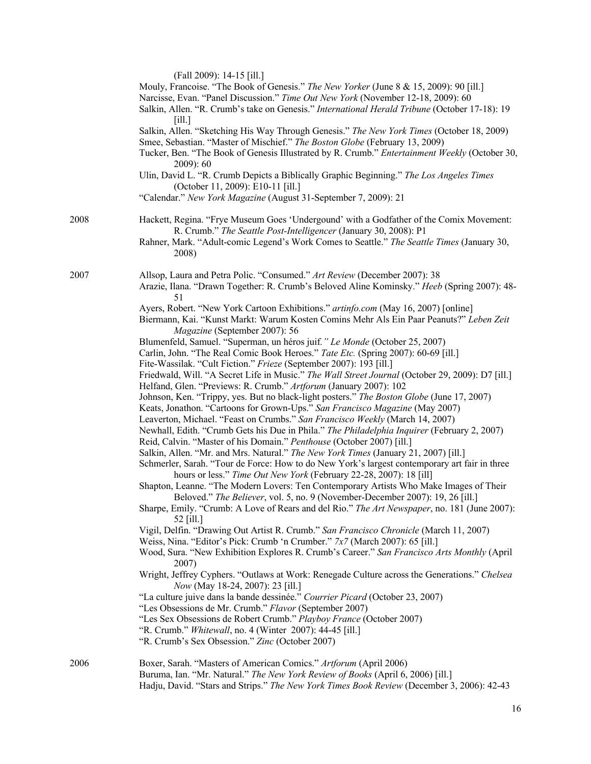|      | (Fall 2009): 14-15 [ill.]<br>Mouly, Francoise. "The Book of Genesis." The New Yorker (June 8 & 15, 2009): 90 [ill.]<br>Narcisse, Evan. "Panel Discussion." Time Out New York (November 12-18, 2009): 60<br>Salkin, Allen. "R. Crumb's take on Genesis." International Herald Tribune (October 17-18): 19<br>[i]<br>Salkin, Allen. "Sketching His Way Through Genesis." The New York Times (October 18, 2009)<br>Smee, Sebastian. "Master of Mischief." The Boston Globe (February 13, 2009)<br>Tucker, Ben. "The Book of Genesis Illustrated by R. Crumb." Entertainment Weekly (October 30,<br>$2009$ : 60<br>Ulin, David L. "R. Crumb Depicts a Biblically Graphic Beginning." The Los Angeles Times<br>(October 11, 2009): E10-11 [ill.]<br>"Calendar." New York Magazine (August 31-September 7, 2009): 21                                                                                                                                                                                                                                                                                                                                                                                                                                                                                                                                                                                                                                                                                                                                                                                                                                                                                                                                                                                                                                                                                                                                                                                                                                                                                                                                                                                                                                                                                  |
|------|-------------------------------------------------------------------------------------------------------------------------------------------------------------------------------------------------------------------------------------------------------------------------------------------------------------------------------------------------------------------------------------------------------------------------------------------------------------------------------------------------------------------------------------------------------------------------------------------------------------------------------------------------------------------------------------------------------------------------------------------------------------------------------------------------------------------------------------------------------------------------------------------------------------------------------------------------------------------------------------------------------------------------------------------------------------------------------------------------------------------------------------------------------------------------------------------------------------------------------------------------------------------------------------------------------------------------------------------------------------------------------------------------------------------------------------------------------------------------------------------------------------------------------------------------------------------------------------------------------------------------------------------------------------------------------------------------------------------------------------------------------------------------------------------------------------------------------------------------------------------------------------------------------------------------------------------------------------------------------------------------------------------------------------------------------------------------------------------------------------------------------------------------------------------------------------------------------------------------------------------------------------------------------------------------|
| 2008 | Hackett, Regina. "Frye Museum Goes 'Undergound' with a Godfather of the Comix Movement:<br>R. Crumb." The Seattle Post-Intelligencer (January 30, 2008): P1<br>Rahner, Mark. "Adult-comic Legend's Work Comes to Seattle." The Seattle Times (January 30,<br>2008)                                                                                                                                                                                                                                                                                                                                                                                                                                                                                                                                                                                                                                                                                                                                                                                                                                                                                                                                                                                                                                                                                                                                                                                                                                                                                                                                                                                                                                                                                                                                                                                                                                                                                                                                                                                                                                                                                                                                                                                                                              |
|      | Arazie, Ilana. "Drawn Together: R. Crumb's Beloved Aline Kominsky." Heeb (Spring 2007): 48-<br>51<br>Ayers, Robert. "New York Cartoon Exhibitions." artinfo.com (May 16, 2007) [online]<br>Biermann, Kai. "Kunst Markt: Warum Kosten Comins Mehr Als Ein Paar Peanuts?" Leben Zeit<br>Magazine (September 2007): 56<br>Blumenfeld, Samuel. "Superman, un héros juif." Le Monde (October 25, 2007)<br>Carlin, John. "The Real Comic Book Heroes." Tate Etc. (Spring 2007): 60-69 [ill.]<br>Fite-Wassilak. "Cult Fiction." Frieze (September 2007): 193 [ill.]<br>Friedwald, Will. "A Secret Life in Music." The Wall Street Journal (October 29, 2009): D7 [ill.]<br>Helfand, Glen. "Previews: R. Crumb." Artforum (January 2007): 102<br>Johnson, Ken. "Trippy, yes. But no black-light posters." The Boston Globe (June 17, 2007)<br>Keats, Jonathon. "Cartoons for Grown-Ups." San Francisco Magazine (May 2007)<br>Leaverton, Michael. "Feast on Crumbs." San Francisco Weekly (March 14, 2007)<br>Newhall, Edith. "Crumb Gets his Due in Phila." The Philadelphia Inquirer (February 2, 2007)<br>Reid, Calvin. "Master of his Domain." Penthouse (October 2007) [ill.]<br>Salkin, Allen. "Mr. and Mrs. Natural." The New York Times (January 21, 2007) [ill.]<br>Schmerler, Sarah. "Tour de Force: How to do New York's largest contemporary art fair in three<br>hours or less." Time Out New York (February 22-28, 2007): 18 [ill]<br>Shapton, Leanne. "The Modern Lovers: Ten Contemporary Artists Who Make Images of Their<br>Beloved." The Believer, vol. 5, no. 9 (November-December 2007): 19, 26 [ill.]<br>Sharpe, Emily. "Crumb: A Love of Rears and del Rio." The Art Newspaper, no. 181 (June 2007):<br>52 [ill.]<br>Vigil, Delfin. "Drawing Out Artist R. Crumb." San Francisco Chronicle (March 11, 2007)<br>Weiss, Nina. "Editor's Pick: Crumb 'n Crumber." 7x7 (March 2007): 65 [ill.]<br>Wood, Sura. "New Exhibition Explores R. Crumb's Career." San Francisco Arts Monthly (April<br>2007)<br>Wright, Jeffrey Cyphers. "Outlaws at Work: Renegade Culture across the Generations." Chelsea<br>Now (May 18-24, 2007): 23 [ill.]<br>"La culture juive dans la bande dessinée." Courrier Picard (October 23, 2007)<br>"Les Obsessions de Mr. Crumb." Flavor (September 2007) |
| 2006 | "R. Crumb." <i>Whitewall</i> , no. 4 (Winter 2007): 44-45 [ill.]<br>"R. Crumb's Sex Obsession." Zinc (October 2007)<br>Boxer, Sarah. "Masters of American Comics." Artforum (April 2006)<br>Buruma, Ian. "Mr. Natural." The New York Review of Books (April 6, 2006) [ill.]                                                                                                                                                                                                                                                                                                                                                                                                                                                                                                                                                                                                                                                                                                                                                                                                                                                                                                                                                                                                                                                                                                                                                                                                                                                                                                                                                                                                                                                                                                                                                                                                                                                                                                                                                                                                                                                                                                                                                                                                                     |

Hadju, David. "Stars and Strips." *The New York Times Book Review* (December 3, 2006): 42-43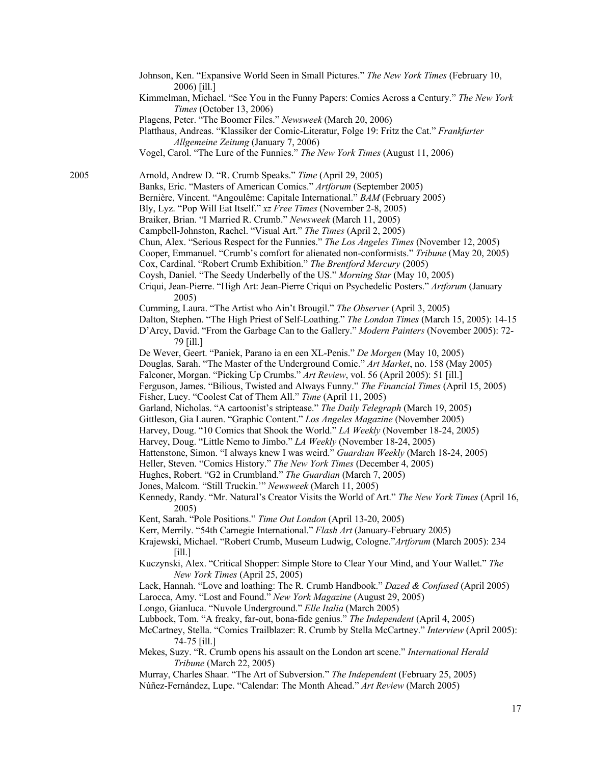Johnson, Ken. "Expansive World Seen in Small Pictures." *The New York Times* (February 10, 2006) [ill.] Kimmelman, Michael. "See You in the Funny Papers: Comics Across a Century." *The New York Times* (October 13, 2006) Plagens, Peter. "The Boomer Files." *Newsweek* (March 20, 2006) Platthaus, Andreas. "Klassiker der Comic-Literatur, Folge 19: Fritz the Cat." *Frankfurter Allgemeine Zeitung* (January 7, 2006) Vogel, Carol. "The Lure of the Funnies." *The New York Times* (August 11, 2006) 2005 Arnold, Andrew D. "R. Crumb Speaks." *Time* (April 29, 2005) Banks, Eric. "Masters of American Comics." *Artforum* (September 2005) Bernière, Vincent. "Angoulême: Capitale International." *BAM* (February 2005) Bly, Lyz. "Pop Will Eat Itself." *xz Free Times* (November 2-8, 2005) Braiker, Brian. "I Married R. Crumb." *Newsweek* (March 11, 2005) Campbell-Johnston, Rachel. "Visual Art." *The Times* (April 2, 2005) Chun, Alex. "Serious Respect for the Funnies." *The Los Angeles Times* (November 12, 2005) Cooper, Emmanuel. "Crumb's comfort for alienated non-conformists." *Tribune* (May 20, 2005) Cox, Cardinal. "Robert Crumb Exhibition." *The Brentford Mercury* (2005) Coysh, Daniel. "The Seedy Underbelly of the US." *Morning Star* (May 10, 2005) Criqui, Jean-Pierre. "High Art: Jean-Pierre Criqui on Psychedelic Posters." *Artforum* (January 2005) Cumming, Laura. "The Artist who Ain't Brougil." *The Observer* (April 3, 2005) Dalton, Stephen. "The High Priest of Self-Loathing." *The London Times* (March 15, 2005): 14-15 D'Arcy, David. "From the Garbage Can to the Gallery." *Modern Painters* (November 2005): 72- 79 [ill.] De Wever, Geert. "Paniek, Parano ia en een XL-Penis." *De Morgen* (May 10, 2005) Douglas, Sarah. "The Master of the Underground Comic." *Art Market*, no. 158 (May 2005) Falconer, Morgan. "Picking Up Crumbs." *Art Review*, vol. 56 (April 2005): 51 [ill.] Ferguson, James. "Bilious, Twisted and Always Funny." *The Financial Times* (April 15, 2005) Fisher, Lucy. "Coolest Cat of Them All." *Time* (April 11, 2005) Garland, Nicholas. "A cartoonist's striptease." *The Daily Telegraph* (March 19, 2005) Gittleson, Gia Lauren. "Graphic Content." *Los Angeles Magazine* (November 2005) Harvey, Doug. "10 Comics that Shook the World." *LA Weekly* (November 18-24, 2005) Harvey, Doug. "Little Nemo to Jimbo." *LA Weekly* (November 18-24, 2005) Hattenstone, Simon. "I always knew I was weird." *Guardian Weekly* (March 18-24, 2005) Heller, Steven. "Comics History." *The New York Times* (December 4, 2005) Hughes, Robert. "G2 in Crumbland." *The Guardian* (March 7, 2005) Jones, Malcom. "Still Truckin.'" *Newsweek* (March 11, 2005) Kennedy, Randy. "Mr. Natural's Creator Visits the World of Art." *The New York Times* (April 16, 2005) Kent, Sarah. "Pole Positions." *Time Out London* (April 13-20, 2005) Kerr, Merrily. "54th Carnegie International." *Flash Art* (January-February 2005) Krajewski, Michael. "Robert Crumb, Museum Ludwig, Cologne."*Artforum* (March 2005): 234 [ill.] Kuczynski, Alex. "Critical Shopper: Simple Store to Clear Your Mind, and Your Wallet." *The New York Times* (April 25, 2005) Lack, Hannah. "Love and loathing: The R. Crumb Handbook." *Dazed & Confused* (April 2005) Larocca, Amy. "Lost and Found." *New York Magazine* (August 29, 2005) Longo, Gianluca. "Nuvole Underground." *Elle Italia* (March 2005) Lubbock, Tom. "A freaky, far-out, bona-fide genius." *The Independent* (April 4, 2005) McCartney, Stella. "Comics Trailblazer: R. Crumb by Stella McCartney." *Interview* (April 2005): 74-75 [ill.] Mekes, Suzy. "R. Crumb opens his assault on the London art scene." *International Herald Tribune* (March 22, 2005) Murray, Charles Shaar. "The Art of Subversion." *The Independent* (February 25, 2005) Núñez-Fernández, Lupe. "Calendar: The Month Ahead." *Art Review* (March 2005)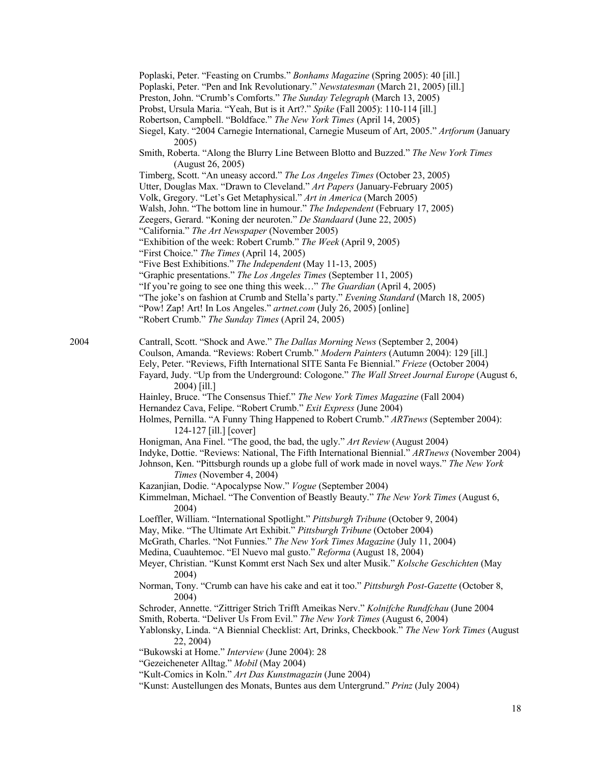|      | Poplaski, Peter. "Feasting on Crumbs." Bonhams Magazine (Spring 2005): 40 [ill.]                                                                                         |
|------|--------------------------------------------------------------------------------------------------------------------------------------------------------------------------|
|      | Poplaski, Peter. "Pen and Ink Revolutionary." Newstatesman (March 21, 2005) [ill.]                                                                                       |
|      | Preston, John. "Crumb's Comforts." The Sunday Telegraph (March 13, 2005)                                                                                                 |
|      | Probst, Ursula Maria. "Yeah, But is it Art?." Spike (Fall 2005): 110-114 [ill.]                                                                                          |
|      | Robertson, Campbell. "Boldface." The New York Times (April 14, 2005)                                                                                                     |
|      | Siegel, Katy. "2004 Carnegie International, Carnegie Museum of Art, 2005." Artforum (January<br>2005)                                                                    |
|      | Smith, Roberta. "Along the Blurry Line Between Blotto and Buzzed." The New York Times<br>(August 26, 2005)                                                               |
|      | Timberg, Scott. "An uneasy accord." The Los Angeles Times (October 23, 2005)                                                                                             |
|      | Utter, Douglas Max. "Drawn to Cleveland." Art Papers (January-February 2005)                                                                                             |
|      | Volk, Gregory. "Let's Get Metaphysical." Art in America (March 2005)                                                                                                     |
|      | Walsh, John. "The bottom line in humour." The Independent (February 17, 2005)                                                                                            |
|      | Zeegers, Gerard. "Koning der neuroten." De Standaard (June 22, 2005)                                                                                                     |
|      | "California." The Art Newspaper (November 2005)                                                                                                                          |
|      | "Exhibition of the week: Robert Crumb." The Week (April 9, 2005)                                                                                                         |
|      | "First Choice." The Times (April 14, 2005)                                                                                                                               |
|      | "Five Best Exhibitions." The Independent (May 11-13, 2005)                                                                                                               |
|      | "Graphic presentations." The Los Angeles Times (September 11, 2005)                                                                                                      |
|      | "If you're going to see one thing this week" The Guardian (April 4, 2005)                                                                                                |
|      | "The joke's on fashion at Crumb and Stella's party." Evening Standard (March 18, 2005)                                                                                   |
|      | "Pow! Zap! Art! In Los Angeles." artnet.com (July 26, 2005) [online]                                                                                                     |
|      | "Robert Crumb." The Sunday Times (April 24, 2005)                                                                                                                        |
|      |                                                                                                                                                                          |
| 2004 | Cantrall, Scott. "Shock and Awe." The Dallas Morning News (September 2, 2004)                                                                                            |
|      | Coulson, Amanda. "Reviews: Robert Crumb." Modern Painters (Autumn 2004): 129 [ill.]                                                                                      |
|      | Eely, Peter. "Reviews, Fifth International SITE Santa Fe Biennial." Frieze (October 2004)                                                                                |
|      | Fayard, Judy. "Up from the Underground: Cologone." The Wall Street Journal Europe (August 6,                                                                             |
|      | 2004) [ill.]                                                                                                                                                             |
|      | Hainley, Bruce. "The Consensus Thief." The New York Times Magazine (Fall 2004)                                                                                           |
|      | Hernandez Cava, Felipe. "Robert Crumb." Exit Express (June 2004)                                                                                                         |
|      | Holmes, Pernilla. "A Funny Thing Happened to Robert Crumb." ARTnews (September 2004):<br>124-127 [ill.] [cover]                                                          |
|      | Honigman, Ana Finel. "The good, the bad, the ugly." Art Review (August 2004)                                                                                             |
|      | Indyke, Dottie. "Reviews: National, The Fifth International Biennial." ARTnews (November 2004)                                                                           |
|      | Johnson, Ken. "Pittsburgh rounds up a globe full of work made in novel ways." The New York<br>Times (November 4, 2004)                                                   |
|      | Kazanjian, Dodie. "Apocalypse Now." Vogue (September 2004)                                                                                                               |
|      | Kimmelman, Michael. "The Convention of Beastly Beauty." The New York Times (August 6,<br>2004)                                                                           |
|      | Loeffler, William. "International Spotlight." Pittsburgh Tribune (October 9, 2004)                                                                                       |
|      | May, Mike. "The Ultimate Art Exhibit." Pittsburgh Tribune (October 2004)                                                                                                 |
|      | McGrath, Charles. "Not Funnies." The New York Times Magazine (July 11, 2004)                                                                                             |
|      | Medina, Cuauhtemoc. "El Nuevo mal gusto." Reforma (August 18, 2004)                                                                                                      |
|      | Meyer, Christian. "Kunst Kommt erst Nach Sex und alter Musik." Kolsche Geschichten (May<br>2004)                                                                         |
|      | Norman, Tony. "Crumb can have his cake and eat it too." Pittsburgh Post-Gazette (October 8,<br>2004)                                                                     |
|      | Schroder, Annette. "Zittriger Strich Trifft Ameikas Nerv." Kolnifche Rundfchau (June 2004<br>Smith, Roberta. "Deliver Us From Evil." The New York Times (August 6, 2004) |
|      | Yablonsky, Linda. "A Biennial Checklist: Art, Drinks, Checkbook." The New York Times (August<br>22, 2004)                                                                |
|      | "Bukowski at Home." Interview (June 2004): 28                                                                                                                            |
|      | "Gezeicheneter Alltag." Mobil (May 2004)                                                                                                                                 |
|      | "Kult-Comics in Koln." Art Das Kunstmagazin (June 2004)                                                                                                                  |
|      | "Kunst: Austellungen des Monats, Buntes aus dem Untergrund." Prinz (July 2004)                                                                                           |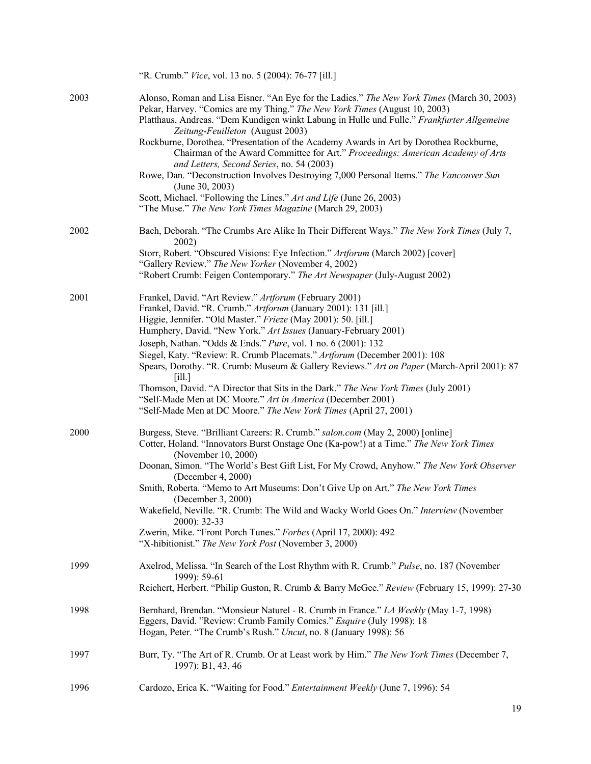|      | "R. Crumb." Vice, vol. 13 no. 5 (2004): 76-77 [ill.]                                                                                                                                                                                                                                                              |
|------|-------------------------------------------------------------------------------------------------------------------------------------------------------------------------------------------------------------------------------------------------------------------------------------------------------------------|
| 2003 | Alonso, Roman and Lisa Eisner. "An Eye for the Ladies." The New York Times (March 30, 2003)<br>Pekar, Harvey. "Comics are my Thing." The New York Times (August 10, 2003)<br>Platthaus, Andreas. "Dem Kundigen winkt Labung in Hulle und Fulle." Frankfurter Allgemeine<br>Zeitung-Feuilleton (August 2003)       |
|      | Rockburne, Dorothea. "Presentation of the Academy Awards in Art by Dorothea Rockburne,<br>Chairman of the Award Committee for Art." Proceedings: American Academy of Arts<br>and Letters, Second Series, no. 54 (2003)<br>Rowe, Dan. "Deconstruction Involves Destroying 7,000 Personal Items." The Vancouver Sun |
|      | (June 30, 2003)                                                                                                                                                                                                                                                                                                   |
|      | Scott, Michael. "Following the Lines." Art and Life (June 26, 2003)<br>"The Muse." The New York Times Magazine (March 29, 2003)                                                                                                                                                                                   |
| 2002 | Bach, Deborah. "The Crumbs Are Alike In Their Different Ways." The New York Times (July 7,<br>2002)                                                                                                                                                                                                               |
|      | Storr, Robert. "Obscured Visions: Eye Infection." Artforum (March 2002) [cover]<br>"Gallery Review." The New Yorker (November 4, 2002)                                                                                                                                                                            |
|      | "Robert Crumb: Feigen Contemporary." The Art Newspaper (July-August 2002)                                                                                                                                                                                                                                         |
| 2001 | Frankel, David. "Art Review." Artforum (February 2001)<br>Frankel, David. "R. Crumb." Artforum (January 2001): 131 [ill.]<br>Higgie, Jennifer. "Old Master." Frieze (May 2001): 50. [ill.]                                                                                                                        |
|      | Humphery, David. "New York." Art Issues (January-February 2001)                                                                                                                                                                                                                                                   |
|      | Joseph, Nathan. "Odds & Ends." Pure, vol. 1 no. 6 (2001): 132                                                                                                                                                                                                                                                     |
|      | Siegel, Katy. "Review: R. Crumb Placemats." Artforum (December 2001): 108<br>Spears, Dorothy. "R. Crumb: Museum & Gallery Reviews." Art on Paper (March-April 2001): 87<br>[i]                                                                                                                                    |
|      | Thomson, David. "A Director that Sits in the Dark." The New York Times (July 2001)<br>"Self-Made Men at DC Moore." Art in America (December 2001)<br>"Self-Made Men at DC Moore." The New York Times (April 27, 2001)                                                                                             |
|      |                                                                                                                                                                                                                                                                                                                   |
| 2000 | Burgess, Steve. "Brilliant Careers: R. Crumb." salon.com (May 2, 2000) [online]<br>Cotter, Holand. "Innovators Burst Onstage One (Ka-pow!) at a Time." The New York Times<br>(November 10, 2000)                                                                                                                  |
|      | Doonan, Simon. "The World's Best Gift List, For My Crowd, Anyhow." The New York Observer<br>(December 4, 2000)                                                                                                                                                                                                    |
|      | Smith, Roberta. "Memo to Art Museums: Don't Give Up on Art." The New York Times<br>(December 3, 2000)                                                                                                                                                                                                             |
|      | Wakefield, Neville. "R. Crumb: The Wild and Wacky World Goes On." Interview (November<br>$2000$ : 32-33                                                                                                                                                                                                           |
|      | Zwerin, Mike. "Front Porch Tunes." Forbes (April 17, 2000): 492<br>"X-hibitionist." The New York Post (November 3, 2000)                                                                                                                                                                                          |
| 1999 | Axelrod, Melissa. "In Search of the Lost Rhythm with R. Crumb." Pulse, no. 187 (November<br>1999): 59-61                                                                                                                                                                                                          |
|      | Reichert, Herbert. "Philip Guston, R. Crumb & Barry McGee." Review (February 15, 1999): 27-30                                                                                                                                                                                                                     |
| 1998 | Bernhard, Brendan. "Monsieur Naturel - R. Crumb in France." LA Weekly (May 1-7, 1998)<br>Eggers, David. "Review: Crumb Family Comics." Esquire (July 1998): 18<br>Hogan, Peter. "The Crumb's Rush." Uncut, no. 8 (January 1998): 56                                                                               |
| 1997 | Burr, Ty. "The Art of R. Crumb. Or at Least work by Him." The New York Times (December 7,<br>1997): B1, 43, 46                                                                                                                                                                                                    |
| 1996 | Cardozo, Erica K. "Waiting for Food." Entertainment Weekly (June 7, 1996): 54                                                                                                                                                                                                                                     |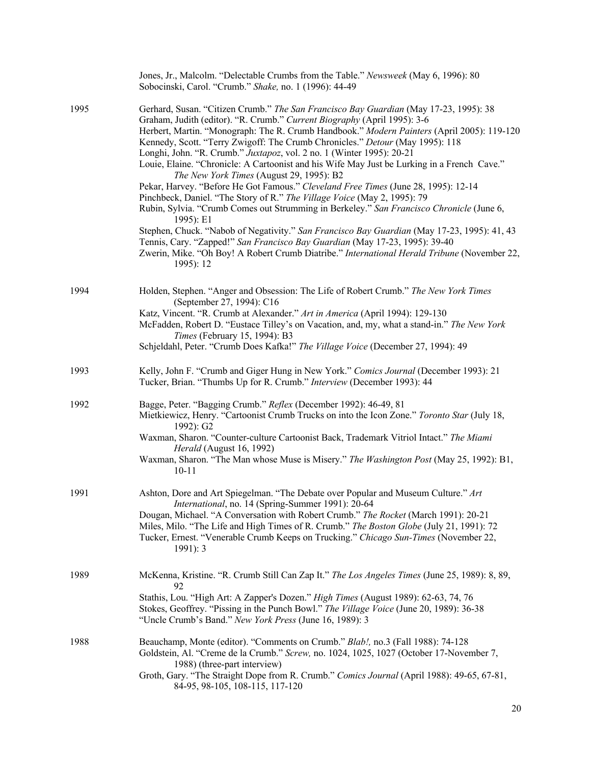|      | Jones, Jr., Malcolm. "Delectable Crumbs from the Table." Newsweek (May 6, 1996): 80<br>Sobocinski, Carol. "Crumb." Shake, no. 1 (1996): 44-49                                                                                                                                                                                                                                                                                                                                                                                                                                                                                                                                                                                                                                                                                                                                                                                                                                                                                                                                                                                             |
|------|-------------------------------------------------------------------------------------------------------------------------------------------------------------------------------------------------------------------------------------------------------------------------------------------------------------------------------------------------------------------------------------------------------------------------------------------------------------------------------------------------------------------------------------------------------------------------------------------------------------------------------------------------------------------------------------------------------------------------------------------------------------------------------------------------------------------------------------------------------------------------------------------------------------------------------------------------------------------------------------------------------------------------------------------------------------------------------------------------------------------------------------------|
| 1995 | Gerhard, Susan. "Citizen Crumb." The San Francisco Bay Guardian (May 17-23, 1995): 38<br>Graham, Judith (editor). "R. Crumb." Current Biography (April 1995): 3-6<br>Herbert, Martin. "Monograph: The R. Crumb Handbook." Modern Painters (April 2005): 119-120<br>Kennedy, Scott. "Terry Zwigoff: The Crumb Chronicles." Detour (May 1995): 118<br>Longhi, John. "R. Crumb." Juxtapoz, vol. 2 no. 1 (Winter 1995): 20-21<br>Louie, Elaine. "Chronicle: A Cartoonist and his Wife May Just be Lurking in a French Cave."<br>The New York Times (August 29, 1995): B2<br>Pekar, Harvey. "Before He Got Famous." Cleveland Free Times (June 28, 1995): 12-14<br>Pinchbeck, Daniel. "The Story of R." The Village Voice (May 2, 1995): 79<br>Rubin, Sylvia. "Crumb Comes out Strumming in Berkeley." San Francisco Chronicle (June 6,<br>1995): E1<br>Stephen, Chuck. "Nabob of Negativity." San Francisco Bay Guardian (May 17-23, 1995): 41, 43<br>Tennis, Cary. "Zapped!" San Francisco Bay Guardian (May 17-23, 1995): 39-40<br>Zwerin, Mike. "Oh Boy! A Robert Crumb Diatribe." International Herald Tribune (November 22,<br>1995): 12 |
| 1994 | Holden, Stephen. "Anger and Obsession: The Life of Robert Crumb." The New York Times<br>(September 27, 1994): C16<br>Katz, Vincent. "R. Crumb at Alexander." Art in America (April 1994): 129-130<br>McFadden, Robert D. "Eustace Tilley's on Vacation, and, my, what a stand-in." The New York<br>Times (February 15, 1994): B3<br>Schjeldahl, Peter. "Crumb Does Kafka!" The Village Voice (December 27, 1994): 49                                                                                                                                                                                                                                                                                                                                                                                                                                                                                                                                                                                                                                                                                                                      |
| 1993 | Kelly, John F. "Crumb and Giger Hung in New York." Comics Journal (December 1993): 21<br>Tucker, Brian. "Thumbs Up for R. Crumb." Interview (December 1993): 44                                                                                                                                                                                                                                                                                                                                                                                                                                                                                                                                                                                                                                                                                                                                                                                                                                                                                                                                                                           |
| 1992 | Bagge, Peter. "Bagging Crumb." Reflex (December 1992): 46-49, 81<br>Mietkiewicz, Henry. "Cartoonist Crumb Trucks on into the Icon Zone." Toronto Star (July 18,<br>1992): G2<br>Waxman, Sharon. "Counter-culture Cartoonist Back, Trademark Vitriol Intact." The Miami<br>Herald (August 16, 1992)<br>Waxman, Sharon. "The Man whose Muse is Misery." The Washington Post (May 25, 1992): B1,<br>$10 - 11$                                                                                                                                                                                                                                                                                                                                                                                                                                                                                                                                                                                                                                                                                                                                |
| 1991 | Ashton, Dore and Art Spiegelman. "The Debate over Popular and Museum Culture." Art<br><i>International</i> , no. 14 (Spring-Summer 1991): 20-64<br>Dougan, Michael. "A Conversation with Robert Crumb." The Rocket (March 1991): 20-21<br>Miles, Milo. "The Life and High Times of R. Crumb." The Boston Globe (July 21, 1991): 72<br>Tucker, Ernest. "Venerable Crumb Keeps on Trucking." Chicago Sun-Times (November 22,<br>$1991$ : 3                                                                                                                                                                                                                                                                                                                                                                                                                                                                                                                                                                                                                                                                                                  |
| 1989 | McKenna, Kristine. "R. Crumb Still Can Zap It." The Los Angeles Times (June 25, 1989): 8, 89,<br>92<br>Stathis, Lou. "High Art: A Zapper's Dozen." High Times (August 1989): 62-63, 74, 76<br>Stokes, Geoffrey. "Pissing in the Punch Bowl." The Village Voice (June 20, 1989): 36-38<br>"Uncle Crumb's Band." New York Press (June 16, 1989): 3                                                                                                                                                                                                                                                                                                                                                                                                                                                                                                                                                                                                                                                                                                                                                                                          |
| 1988 | Beauchamp, Monte (editor). "Comments on Crumb." Blab!, no.3 (Fall 1988): 74-128<br>Goldstein, Al. "Creme de la Crumb." Screw, no. 1024, 1025, 1027 (October 17-November 7,<br>1988) (three-part interview)<br>Groth, Gary. "The Straight Dope from R. Crumb." Comics Journal (April 1988): 49-65, 67-81,<br>84-95, 98-105, 108-115, 117-120                                                                                                                                                                                                                                                                                                                                                                                                                                                                                                                                                                                                                                                                                                                                                                                               |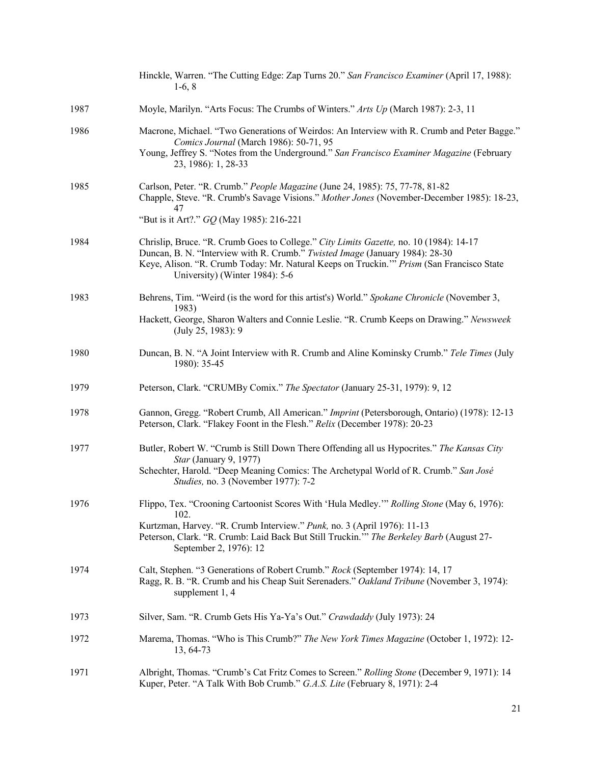|      | Hinckle, Warren. "The Cutting Edge: Zap Turns 20." San Francisco Examiner (April 17, 1988):<br>$1-6, 8$                                                                                                                                                                                               |
|------|-------------------------------------------------------------------------------------------------------------------------------------------------------------------------------------------------------------------------------------------------------------------------------------------------------|
| 1987 | Moyle, Marilyn. "Arts Focus: The Crumbs of Winters." Arts Up (March 1987): 2-3, 11                                                                                                                                                                                                                    |
| 1986 | Macrone, Michael. "Two Generations of Weirdos: An Interview with R. Crumb and Peter Bagge."<br>Comics Journal (March 1986): 50-71, 95<br>Young, Jeffrey S. "Notes from the Underground." San Francisco Examiner Magazine (February<br>23, 1986): 1, 28-33                                             |
| 1985 | Carlson, Peter. "R. Crumb." People Magazine (June 24, 1985): 75, 77-78, 81-82<br>Chapple, Steve. "R. Crumb's Savage Visions." Mother Jones (November-December 1985): 18-23,<br>47<br>"But is it Art?." GQ (May 1985): 216-221                                                                         |
| 1984 | Chrislip, Bruce. "R. Crumb Goes to College." City Limits Gazette, no. 10 (1984): 14-17<br>Duncan, B. N. "Interview with R. Crumb." Twisted Image (January 1984): 28-30<br>Keye, Alison. "R. Crumb Today: Mr. Natural Keeps on Truckin."" Prism (San Francisco State<br>University) (Winter 1984): 5-6 |
| 1983 | Behrens, Tim. "Weird (is the word for this artist's) World." Spokane Chronicle (November 3,<br>1983)<br>Hackett, George, Sharon Walters and Connie Leslie. "R. Crumb Keeps on Drawing." Newsweek<br>(July 25, 1983): 9                                                                                |
| 1980 | Duncan, B. N. "A Joint Interview with R. Crumb and Aline Kominsky Crumb." Tele Times (July<br>1980): 35-45                                                                                                                                                                                            |
| 1979 | Peterson, Clark. "CRUMBy Comix." The Spectator (January 25-31, 1979): 9, 12                                                                                                                                                                                                                           |
| 1978 | Gannon, Gregg. "Robert Crumb, All American." <i>Imprint</i> (Petersborough, Ontario) (1978): 12-13<br>Peterson, Clark. "Flakey Foont in the Flesh." Relix (December 1978): 20-23                                                                                                                      |
| 1977 | Butler, Robert W. "Crumb is Still Down There Offending all us Hypocrites." The Kansas City<br>Star (January 9, 1977)<br>Schechter, Harold. "Deep Meaning Comics: The Archetypal World of R. Crumb." San José<br>Studies, no. 3 (November 1977): 7-2                                                   |
| 1976 | Flippo, Tex. "Crooning Cartoonist Scores With 'Hula Medley."" Rolling Stone (May 6, 1976):<br>102.<br>Kurtzman, Harvey. "R. Crumb Interview." Punk, no. 3 (April 1976): 11-13<br>Peterson, Clark. "R. Crumb: Laid Back But Still Truckin."" The Berkeley Barb (August 27-<br>September 2, 1976): 12   |
| 1974 | Calt, Stephen. "3 Generations of Robert Crumb." Rock (September 1974): 14, 17<br>Ragg, R. B. "R. Crumb and his Cheap Suit Serenaders." Oakland Tribune (November 3, 1974):<br>supplement 1, 4                                                                                                         |
| 1973 | Silver, Sam. "R. Crumb Gets His Ya-Ya's Out." Crawdaddy (July 1973): 24                                                                                                                                                                                                                               |
| 1972 | Marema, Thomas. "Who is This Crumb?" The New York Times Magazine (October 1, 1972): 12-<br>13, 64-73                                                                                                                                                                                                  |
| 1971 | Albright, Thomas. "Crumb's Cat Fritz Comes to Screen." Rolling Stone (December 9, 1971): 14<br>Kuper, Peter. "A Talk With Bob Crumb." G.A.S. Lite (February 8, 1971): 2-4                                                                                                                             |